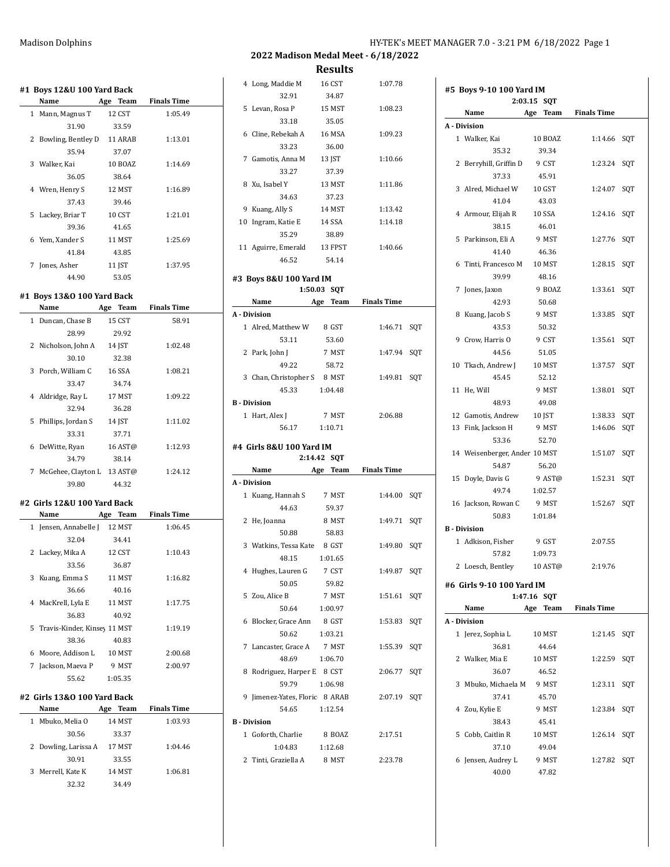**2022 Madison Medal Meet - 6/18/2022**

**Results**

| #1 Boys 12&U 100 Yard Back     |                                                                                                                                                                                     |                                                                                                                                                                                                       |                                                                           | 4 Long, Maddie M               | 16 CST                                                                                                                                                                                                                                                                              | 1:07.78                                                                                                                                                                                                                          |                                                                                       |
|--------------------------------|-------------------------------------------------------------------------------------------------------------------------------------------------------------------------------------|-------------------------------------------------------------------------------------------------------------------------------------------------------------------------------------------------------|---------------------------------------------------------------------------|--------------------------------|-------------------------------------------------------------------------------------------------------------------------------------------------------------------------------------------------------------------------------------------------------------------------------------|----------------------------------------------------------------------------------------------------------------------------------------------------------------------------------------------------------------------------------|---------------------------------------------------------------------------------------|
|                                |                                                                                                                                                                                     | <b>Finals Time</b>                                                                                                                                                                                    |                                                                           | 32.91                          | 34.87                                                                                                                                                                                                                                                                               |                                                                                                                                                                                                                                  |                                                                                       |
| 1 Mann, Magnus T               | 12 CST                                                                                                                                                                              | 1:05.49                                                                                                                                                                                               |                                                                           |                                |                                                                                                                                                                                                                                                                                     |                                                                                                                                                                                                                                  |                                                                                       |
| 31.90                          | 33.59                                                                                                                                                                               |                                                                                                                                                                                                       |                                                                           |                                |                                                                                                                                                                                                                                                                                     |                                                                                                                                                                                                                                  |                                                                                       |
| 2 Bowling, Bentley D           | 11 ARAB                                                                                                                                                                             | 1:13.01                                                                                                                                                                                               |                                                                           |                                | 16 MSA                                                                                                                                                                                                                                                                              | 1:09.23                                                                                                                                                                                                                          |                                                                                       |
| 35.94                          | 37.07                                                                                                                                                                               |                                                                                                                                                                                                       |                                                                           | 33.23                          | 36.00                                                                                                                                                                                                                                                                               |                                                                                                                                                                                                                                  |                                                                                       |
| 3 Walker, Kai                  | 10 BOAZ                                                                                                                                                                             | 1:14.69                                                                                                                                                                                               |                                                                           |                                | 13 JST                                                                                                                                                                                                                                                                              | 1:10.66                                                                                                                                                                                                                          |                                                                                       |
| 36.05                          | 38.64                                                                                                                                                                               |                                                                                                                                                                                                       |                                                                           | 33.27                          | 37.39                                                                                                                                                                                                                                                                               |                                                                                                                                                                                                                                  |                                                                                       |
|                                |                                                                                                                                                                                     |                                                                                                                                                                                                       |                                                                           |                                | 13 MST                                                                                                                                                                                                                                                                              | 1:11.86                                                                                                                                                                                                                          |                                                                                       |
|                                |                                                                                                                                                                                     |                                                                                                                                                                                                       |                                                                           | 34.63                          | 37.23                                                                                                                                                                                                                                                                               |                                                                                                                                                                                                                                  |                                                                                       |
|                                |                                                                                                                                                                                     |                                                                                                                                                                                                       |                                                                           |                                | 14 MST                                                                                                                                                                                                                                                                              | 1:13.42                                                                                                                                                                                                                          |                                                                                       |
|                                |                                                                                                                                                                                     |                                                                                                                                                                                                       |                                                                           |                                | 14 SSA                                                                                                                                                                                                                                                                              | 1:14.18                                                                                                                                                                                                                          |                                                                                       |
|                                |                                                                                                                                                                                     |                                                                                                                                                                                                       |                                                                           | 35.29                          | 38.89                                                                                                                                                                                                                                                                               |                                                                                                                                                                                                                                  |                                                                                       |
|                                |                                                                                                                                                                                     |                                                                                                                                                                                                       |                                                                           |                                | 13 FPST                                                                                                                                                                                                                                                                             | 1:40.66                                                                                                                                                                                                                          |                                                                                       |
|                                |                                                                                                                                                                                     |                                                                                                                                                                                                       |                                                                           | 46.52                          | 54.14                                                                                                                                                                                                                                                                               |                                                                                                                                                                                                                                  |                                                                                       |
|                                |                                                                                                                                                                                     |                                                                                                                                                                                                       |                                                                           |                                |                                                                                                                                                                                                                                                                                     |                                                                                                                                                                                                                                  |                                                                                       |
|                                |                                                                                                                                                                                     |                                                                                                                                                                                                       |                                                                           |                                |                                                                                                                                                                                                                                                                                     |                                                                                                                                                                                                                                  |                                                                                       |
|                                |                                                                                                                                                                                     |                                                                                                                                                                                                       |                                                                           |                                |                                                                                                                                                                                                                                                                                     |                                                                                                                                                                                                                                  |                                                                                       |
|                                |                                                                                                                                                                                     | <b>Finals Time</b>                                                                                                                                                                                    |                                                                           |                                |                                                                                                                                                                                                                                                                                     |                                                                                                                                                                                                                                  |                                                                                       |
| 1 Duncan, Chase B              | 15 CST                                                                                                                                                                              | 58.91                                                                                                                                                                                                 |                                                                           |                                |                                                                                                                                                                                                                                                                                     |                                                                                                                                                                                                                                  |                                                                                       |
| 28.99                          | 29.92                                                                                                                                                                               |                                                                                                                                                                                                       |                                                                           |                                |                                                                                                                                                                                                                                                                                     |                                                                                                                                                                                                                                  |                                                                                       |
| 2 Nicholson, John A            | 14 JST                                                                                                                                                                              | 1:02.48                                                                                                                                                                                               |                                                                           |                                |                                                                                                                                                                                                                                                                                     |                                                                                                                                                                                                                                  |                                                                                       |
| 30.10                          | 32.38                                                                                                                                                                               |                                                                                                                                                                                                       |                                                                           |                                |                                                                                                                                                                                                                                                                                     |                                                                                                                                                                                                                                  |                                                                                       |
| 3 Porch, William C             | <b>16 SSA</b>                                                                                                                                                                       | 1:08.21                                                                                                                                                                                               |                                                                           |                                |                                                                                                                                                                                                                                                                                     |                                                                                                                                                                                                                                  |                                                                                       |
| 33.47                          | 34.74                                                                                                                                                                               |                                                                                                                                                                                                       |                                                                           |                                |                                                                                                                                                                                                                                                                                     |                                                                                                                                                                                                                                  |                                                                                       |
| 4 Aldridge, Ray L              | 17 MST                                                                                                                                                                              | 1:09.22                                                                                                                                                                                               |                                                                           |                                |                                                                                                                                                                                                                                                                                     |                                                                                                                                                                                                                                  |                                                                                       |
| 32.94                          | 36.28                                                                                                                                                                               |                                                                                                                                                                                                       |                                                                           |                                |                                                                                                                                                                                                                                                                                     |                                                                                                                                                                                                                                  |                                                                                       |
|                                |                                                                                                                                                                                     |                                                                                                                                                                                                       |                                                                           |                                |                                                                                                                                                                                                                                                                                     |                                                                                                                                                                                                                                  |                                                                                       |
|                                |                                                                                                                                                                                     |                                                                                                                                                                                                       |                                                                           | 56.17                          | 1:10.71                                                                                                                                                                                                                                                                             |                                                                                                                                                                                                                                  |                                                                                       |
|                                |                                                                                                                                                                                     |                                                                                                                                                                                                       |                                                                           |                                |                                                                                                                                                                                                                                                                                     |                                                                                                                                                                                                                                  |                                                                                       |
|                                |                                                                                                                                                                                     |                                                                                                                                                                                                       |                                                                           |                                |                                                                                                                                                                                                                                                                                     |                                                                                                                                                                                                                                  |                                                                                       |
|                                |                                                                                                                                                                                     |                                                                                                                                                                                                       |                                                                           | Name                           | Age Team                                                                                                                                                                                                                                                                            | <b>Finals Time</b>                                                                                                                                                                                                               |                                                                                       |
|                                | 44.32                                                                                                                                                                               |                                                                                                                                                                                                       |                                                                           |                                |                                                                                                                                                                                                                                                                                     |                                                                                                                                                                                                                                  |                                                                                       |
|                                |                                                                                                                                                                                     |                                                                                                                                                                                                       |                                                                           |                                |                                                                                                                                                                                                                                                                                     |                                                                                                                                                                                                                                  |                                                                                       |
| #2 Girls 12&U 100 Yard Back    |                                                                                                                                                                                     |                                                                                                                                                                                                       |                                                                           | 1 Kuang, Hannah S              | 7 MST                                                                                                                                                                                                                                                                               | 1:44.00 SQT                                                                                                                                                                                                                      |                                                                                       |
|                                |                                                                                                                                                                                     |                                                                                                                                                                                                       |                                                                           | 44.63                          | 59.37                                                                                                                                                                                                                                                                               |                                                                                                                                                                                                                                  |                                                                                       |
|                                | Age Team                                                                                                                                                                            | <b>Finals Time</b>                                                                                                                                                                                    |                                                                           |                                | 8 MST                                                                                                                                                                                                                                                                               | 1:49.71 SOT                                                                                                                                                                                                                      |                                                                                       |
| 1 Jensen, Annabelle J 12 MST   |                                                                                                                                                                                     | 1:06.45                                                                                                                                                                                               |                                                                           | 2 He, Joanna<br>50.88          | 58.83                                                                                                                                                                                                                                                                               |                                                                                                                                                                                                                                  |                                                                                       |
| 32.04                          | 34.41                                                                                                                                                                               |                                                                                                                                                                                                       |                                                                           |                                |                                                                                                                                                                                                                                                                                     |                                                                                                                                                                                                                                  |                                                                                       |
| 2 Lackey, Mika A               | 12 CST                                                                                                                                                                              | 1:10.43                                                                                                                                                                                               |                                                                           | 3 Watkins, Tessa Kate 8 GST    |                                                                                                                                                                                                                                                                                     | 1:49.80 SQT                                                                                                                                                                                                                      |                                                                                       |
| 33.56                          | 36.87                                                                                                                                                                               |                                                                                                                                                                                                       |                                                                           | 48.15                          | 1:01.65                                                                                                                                                                                                                                                                             |                                                                                                                                                                                                                                  |                                                                                       |
| 3 Kuang, Emma S                | 11 MST                                                                                                                                                                              | 1:16.82                                                                                                                                                                                               |                                                                           | 4 Hughes, Lauren G             | 7 CST                                                                                                                                                                                                                                                                               | 1:49.87 SQT                                                                                                                                                                                                                      |                                                                                       |
| 36.66                          | 40.16                                                                                                                                                                               |                                                                                                                                                                                                       |                                                                           | 50.05                          | 59.82                                                                                                                                                                                                                                                                               |                                                                                                                                                                                                                                  |                                                                                       |
| 4 MacKrell, Lyla E             | 11 MST                                                                                                                                                                              | 1:17.75                                                                                                                                                                                               |                                                                           | 5 Zou, Alice B                 | 7 MST                                                                                                                                                                                                                                                                               | 1:51.61 SQT                                                                                                                                                                                                                      |                                                                                       |
| 36.83                          | 40.92                                                                                                                                                                               |                                                                                                                                                                                                       |                                                                           | 50.64                          | 1.00.97                                                                                                                                                                                                                                                                             |                                                                                                                                                                                                                                  |                                                                                       |
| 5 Travis-Kinder, Kinsey 11 MST |                                                                                                                                                                                     | 1:19.19                                                                                                                                                                                               |                                                                           | 6 Blocker, Grace Ann           | 8 GST                                                                                                                                                                                                                                                                               | 1:53.83 SQT                                                                                                                                                                                                                      |                                                                                       |
| 38.36                          | 40.83                                                                                                                                                                               |                                                                                                                                                                                                       |                                                                           | 50.62                          | 1:03.21                                                                                                                                                                                                                                                                             |                                                                                                                                                                                                                                  |                                                                                       |
| 6 Moore, Addison L             | 10 MST                                                                                                                                                                              | 2:00.68                                                                                                                                                                                               |                                                                           | 7 Lancaster, Grace A           | 7 MST                                                                                                                                                                                                                                                                               | 1:55.39 SQT                                                                                                                                                                                                                      |                                                                                       |
| 7 Jackson, Maeva P             | 9 MST                                                                                                                                                                               | 2:00.97                                                                                                                                                                                               |                                                                           | 48.69                          | 1:06.70                                                                                                                                                                                                                                                                             |                                                                                                                                                                                                                                  |                                                                                       |
| 55.62                          | 1:05.35                                                                                                                                                                             |                                                                                                                                                                                                       |                                                                           | 8 Rodriguez, Harper E 8 CST    |                                                                                                                                                                                                                                                                                     | 2:06.77 SQT                                                                                                                                                                                                                      |                                                                                       |
|                                |                                                                                                                                                                                     |                                                                                                                                                                                                       |                                                                           | 59.79                          | 1:06.98                                                                                                                                                                                                                                                                             |                                                                                                                                                                                                                                  |                                                                                       |
| #2 Girls 13&0 100 Yard Back    |                                                                                                                                                                                     |                                                                                                                                                                                                       |                                                                           | 9 Jimenez-Yates, Floric 8 ARAB |                                                                                                                                                                                                                                                                                     | 2:07.19 SQT                                                                                                                                                                                                                      |                                                                                       |
|                                | Age Team                                                                                                                                                                            | <b>Finals Time</b>                                                                                                                                                                                    |                                                                           | 54.65                          | 1:12.54                                                                                                                                                                                                                                                                             |                                                                                                                                                                                                                                  |                                                                                       |
| 1 Mbuko, Melia O               | 14 MST                                                                                                                                                                              | 1:03.93                                                                                                                                                                                               |                                                                           | <b>B</b> - Division            |                                                                                                                                                                                                                                                                                     |                                                                                                                                                                                                                                  |                                                                                       |
| 30.56                          | 33.37                                                                                                                                                                               |                                                                                                                                                                                                       |                                                                           | 1 Goforth, Charlie             | 8 BOAZ                                                                                                                                                                                                                                                                              | 2:17.51                                                                                                                                                                                                                          |                                                                                       |
| 2 Dowling, Larissa A           | 17 MST                                                                                                                                                                              | 1:04.46                                                                                                                                                                                               |                                                                           | 1:04.83                        | 1:12.68                                                                                                                                                                                                                                                                             |                                                                                                                                                                                                                                  |                                                                                       |
| 30.91                          | 33.55                                                                                                                                                                               |                                                                                                                                                                                                       |                                                                           | 2 Tinti, Graziella A           | 8 MST                                                                                                                                                                                                                                                                               | 2:23.78                                                                                                                                                                                                                          |                                                                                       |
| 3 Merrell, Kate K              | 14 MST                                                                                                                                                                              | 1:06.81                                                                                                                                                                                               |                                                                           |                                |                                                                                                                                                                                                                                                                                     |                                                                                                                                                                                                                                  |                                                                                       |
|                                | 4 Wren, Henry S<br>37.43<br>5 Lackey, Briar T<br>39.36<br>6 Yem, Xander S<br>41.84<br>7 Jones, Asher<br>44.90<br>5 Phillips, Jordan S<br>33.31<br>6 DeWitte, Ryan<br>34.79<br>39.80 | Age Team<br>12 MST<br>39.46<br>10 CST<br>41.65<br>11 MST<br>43.85<br>11 JST<br>53.05<br>#1 Boys 13&0 100 Yard Back<br>Age Team<br>14 JST<br>37.71<br>16 AST@<br>38.14<br>7 McGehee, Clayton L 13 AST@ | 1:16.89<br>1:21.01<br>1:25.69<br>1:37.95<br>1:11.02<br>1:12.93<br>1:24.12 |                                | 5 Levan, Rosa P<br>33.18<br>6 Cline, Rebekah A<br>7 Gamotis, Anna M<br>8 Xu, Isabel Y<br>9 Kuang, Ally S<br>10 Ingram, Katie E<br>11 Aguirre, Emerald<br>Name<br>A - Division<br>53.11<br>2 Park, John J<br>49.22<br>45.33<br><b>B</b> - Division<br>1 Hart, Alex J<br>A - Division | 15 MST<br>35.05<br>#3 Boys 8&U 100 Yard IM<br>1:50.03 SQT<br>Age Team<br>1 Alred. Matthew W<br>8 GST<br>53.60<br>7 MST<br>58.72<br>3 Chan, Christopher S<br>8 MST<br>1:04.48<br>7 MST<br>#4 Girls 8&U 100 Yard IM<br>2:14.42 SQT | 1:08.23<br><b>Finals Time</b><br>1:46.71 SQT<br>1:47.94 SQT<br>1:49.81 SQT<br>2:06.88 |

|                    | 2:03.15<br>SQT                                                                                                                                                                                                                                         |                                                                                                                                                                                                                                                                                                                                                                                                                     |                                                                                                                                                                                                                                                                               |
|--------------------|--------------------------------------------------------------------------------------------------------------------------------------------------------------------------------------------------------------------------------------------------------|---------------------------------------------------------------------------------------------------------------------------------------------------------------------------------------------------------------------------------------------------------------------------------------------------------------------------------------------------------------------------------------------------------------------|-------------------------------------------------------------------------------------------------------------------------------------------------------------------------------------------------------------------------------------------------------------------------------|
|                    |                                                                                                                                                                                                                                                        |                                                                                                                                                                                                                                                                                                                                                                                                                     |                                                                                                                                                                                                                                                                               |
|                    |                                                                                                                                                                                                                                                        |                                                                                                                                                                                                                                                                                                                                                                                                                     |                                                                                                                                                                                                                                                                               |
|                    |                                                                                                                                                                                                                                                        |                                                                                                                                                                                                                                                                                                                                                                                                                     |                                                                                                                                                                                                                                                                               |
|                    |                                                                                                                                                                                                                                                        |                                                                                                                                                                                                                                                                                                                                                                                                                     |                                                                                                                                                                                                                                                                               |
|                    |                                                                                                                                                                                                                                                        |                                                                                                                                                                                                                                                                                                                                                                                                                     |                                                                                                                                                                                                                                                                               |
|                    |                                                                                                                                                                                                                                                        |                                                                                                                                                                                                                                                                                                                                                                                                                     |                                                                                                                                                                                                                                                                               |
|                    |                                                                                                                                                                                                                                                        |                                                                                                                                                                                                                                                                                                                                                                                                                     |                                                                                                                                                                                                                                                                               |
|                    |                                                                                                                                                                                                                                                        |                                                                                                                                                                                                                                                                                                                                                                                                                     |                                                                                                                                                                                                                                                                               |
|                    |                                                                                                                                                                                                                                                        |                                                                                                                                                                                                                                                                                                                                                                                                                     | SQT                                                                                                                                                                                                                                                                           |
|                    |                                                                                                                                                                                                                                                        |                                                                                                                                                                                                                                                                                                                                                                                                                     |                                                                                                                                                                                                                                                                               |
|                    |                                                                                                                                                                                                                                                        |                                                                                                                                                                                                                                                                                                                                                                                                                     | SQT                                                                                                                                                                                                                                                                           |
|                    |                                                                                                                                                                                                                                                        |                                                                                                                                                                                                                                                                                                                                                                                                                     |                                                                                                                                                                                                                                                                               |
|                    |                                                                                                                                                                                                                                                        |                                                                                                                                                                                                                                                                                                                                                                                                                     | SQT                                                                                                                                                                                                                                                                           |
|                    |                                                                                                                                                                                                                                                        |                                                                                                                                                                                                                                                                                                                                                                                                                     |                                                                                                                                                                                                                                                                               |
| 7 Jones, Jaxon     |                                                                                                                                                                                                                                                        |                                                                                                                                                                                                                                                                                                                                                                                                                     | SQT                                                                                                                                                                                                                                                                           |
| 42.93              | 50.68                                                                                                                                                                                                                                                  |                                                                                                                                                                                                                                                                                                                                                                                                                     |                                                                                                                                                                                                                                                                               |
| 8 Kuang, Jacob S   | 9 MST                                                                                                                                                                                                                                                  |                                                                                                                                                                                                                                                                                                                                                                                                                     |                                                                                                                                                                                                                                                                               |
| 43.53              | 50.32                                                                                                                                                                                                                                                  |                                                                                                                                                                                                                                                                                                                                                                                                                     |                                                                                                                                                                                                                                                                               |
|                    | 9 CST                                                                                                                                                                                                                                                  |                                                                                                                                                                                                                                                                                                                                                                                                                     |                                                                                                                                                                                                                                                                               |
| 44.56              | 51.05                                                                                                                                                                                                                                                  |                                                                                                                                                                                                                                                                                                                                                                                                                     |                                                                                                                                                                                                                                                                               |
| 10 Tkach, Andrew J |                                                                                                                                                                                                                                                        |                                                                                                                                                                                                                                                                                                                                                                                                                     |                                                                                                                                                                                                                                                                               |
| 45.45              | 52.12                                                                                                                                                                                                                                                  |                                                                                                                                                                                                                                                                                                                                                                                                                     |                                                                                                                                                                                                                                                                               |
| 11 He, Will        | 9 MST                                                                                                                                                                                                                                                  | 1:38.01                                                                                                                                                                                                                                                                                                                                                                                                             | SQT                                                                                                                                                                                                                                                                           |
| 48.93              | 49.08                                                                                                                                                                                                                                                  |                                                                                                                                                                                                                                                                                                                                                                                                                     |                                                                                                                                                                                                                                                                               |
| 12 Gamotis, Andrew | 10 JST                                                                                                                                                                                                                                                 |                                                                                                                                                                                                                                                                                                                                                                                                                     | SQT                                                                                                                                                                                                                                                                           |
| 13 Fink, Jackson H | 9 MST                                                                                                                                                                                                                                                  | 1:46.06                                                                                                                                                                                                                                                                                                                                                                                                             | SQT                                                                                                                                                                                                                                                                           |
| 53.36              | 52.70                                                                                                                                                                                                                                                  |                                                                                                                                                                                                                                                                                                                                                                                                                     |                                                                                                                                                                                                                                                                               |
|                    |                                                                                                                                                                                                                                                        |                                                                                                                                                                                                                                                                                                                                                                                                                     | SQT                                                                                                                                                                                                                                                                           |
| 54.87              | 56.20                                                                                                                                                                                                                                                  |                                                                                                                                                                                                                                                                                                                                                                                                                     |                                                                                                                                                                                                                                                                               |
| 15 Doyle, Davis G  | 9 AST@                                                                                                                                                                                                                                                 |                                                                                                                                                                                                                                                                                                                                                                                                                     |                                                                                                                                                                                                                                                                               |
| 49.74              | 1:02.57                                                                                                                                                                                                                                                |                                                                                                                                                                                                                                                                                                                                                                                                                     |                                                                                                                                                                                                                                                                               |
|                    | 9 MST                                                                                                                                                                                                                                                  |                                                                                                                                                                                                                                                                                                                                                                                                                     |                                                                                                                                                                                                                                                                               |
| 50.83              | 1:01.84                                                                                                                                                                                                                                                |                                                                                                                                                                                                                                                                                                                                                                                                                     |                                                                                                                                                                                                                                                                               |
| <b>B</b> Division  |                                                                                                                                                                                                                                                        |                                                                                                                                                                                                                                                                                                                                                                                                                     |                                                                                                                                                                                                                                                                               |
| 1 Adkison, Fisher  | 9 GST                                                                                                                                                                                                                                                  | 2:07.55                                                                                                                                                                                                                                                                                                                                                                                                             |                                                                                                                                                                                                                                                                               |
| 57.82              | 1:09.73                                                                                                                                                                                                                                                |                                                                                                                                                                                                                                                                                                                                                                                                                     |                                                                                                                                                                                                                                                                               |
| 2 Loesch, Bentley  |                                                                                                                                                                                                                                                        | 2:19.76                                                                                                                                                                                                                                                                                                                                                                                                             |                                                                                                                                                                                                                                                                               |
|                    |                                                                                                                                                                                                                                                        |                                                                                                                                                                                                                                                                                                                                                                                                                     |                                                                                                                                                                                                                                                                               |
|                    |                                                                                                                                                                                                                                                        |                                                                                                                                                                                                                                                                                                                                                                                                                     |                                                                                                                                                                                                                                                                               |
|                    |                                                                                                                                                                                                                                                        |                                                                                                                                                                                                                                                                                                                                                                                                                     |                                                                                                                                                                                                                                                                               |
|                    |                                                                                                                                                                                                                                                        |                                                                                                                                                                                                                                                                                                                                                                                                                     |                                                                                                                                                                                                                                                                               |
|                    |                                                                                                                                                                                                                                                        |                                                                                                                                                                                                                                                                                                                                                                                                                     |                                                                                                                                                                                                                                                                               |
|                    |                                                                                                                                                                                                                                                        |                                                                                                                                                                                                                                                                                                                                                                                                                     |                                                                                                                                                                                                                                                                               |
|                    |                                                                                                                                                                                                                                                        |                                                                                                                                                                                                                                                                                                                                                                                                                     |                                                                                                                                                                                                                                                                               |
|                    |                                                                                                                                                                                                                                                        |                                                                                                                                                                                                                                                                                                                                                                                                                     |                                                                                                                                                                                                                                                                               |
|                    |                                                                                                                                                                                                                                                        |                                                                                                                                                                                                                                                                                                                                                                                                                     |                                                                                                                                                                                                                                                                               |
|                    |                                                                                                                                                                                                                                                        |                                                                                                                                                                                                                                                                                                                                                                                                                     | SQT                                                                                                                                                                                                                                                                           |
|                    |                                                                                                                                                                                                                                                        |                                                                                                                                                                                                                                                                                                                                                                                                                     |                                                                                                                                                                                                                                                                               |
| 4 Zou, Kylie E     | 9 MST                                                                                                                                                                                                                                                  | 1:23.84 SQT                                                                                                                                                                                                                                                                                                                                                                                                         |                                                                                                                                                                                                                                                                               |
|                    | 45.41                                                                                                                                                                                                                                                  |                                                                                                                                                                                                                                                                                                                                                                                                                     |                                                                                                                                                                                                                                                                               |
| 38.43              |                                                                                                                                                                                                                                                        |                                                                                                                                                                                                                                                                                                                                                                                                                     |                                                                                                                                                                                                                                                                               |
| 5 Cobb, Caitlin R  | 10 MST                                                                                                                                                                                                                                                 | 1:26.14                                                                                                                                                                                                                                                                                                                                                                                                             | SQT                                                                                                                                                                                                                                                                           |
| 37.10              | 49.04                                                                                                                                                                                                                                                  |                                                                                                                                                                                                                                                                                                                                                                                                                     | SQT                                                                                                                                                                                                                                                                           |
|                    | Name<br>A - Division<br>1 Walker, Kai<br>35.32<br>37.33<br>41.04<br>4 Armour, Elijah R<br>38.15<br>5 Parkinson, Eli A<br>41.40<br>39.99<br>9 Crow, Harris O<br>Name<br>A - Division<br>1 Jerez, Sophia L<br>36.81<br>2 Walker, Mia E<br>36.07<br>37.41 | Age Team<br>10 BOAZ<br>39.34<br>2 Berryhill, Griffin D<br>9 CST<br>45.91<br>3 Alred, Michael W<br>10 GST<br>43.03<br>10 SSA<br>46.01<br>9 MST<br>46.36<br>6 Tinti, Francesco M<br>10 MST<br>48.16<br>9 BOAZ<br>10 MST<br>14 Weisenberger, Ander 10 MST<br>16 Jackson, Rowan C<br>10 AST@<br>#6 Girls 9-10 100 Yard IM<br>1:47.16 SQT<br>10 MST<br>44.64<br>10 MST<br>46.52<br>3 Mbuko, Michaela M<br>9 MST<br>45.70 | <b>Finals Time</b><br>1:14.66 SQT<br>1:23.24 SQT<br>1:24.07 SQT<br>1:24.16<br>1:27.76<br>1:28.15<br>1:33.61<br>1:33.85 SQT<br>1:35.61 SQT<br>1:37.57 SQT<br>1:38.33<br>1:51.07<br>1:52.31 SQT<br>1:52.67 SQT<br>Age Team Finals Time<br>1:21.45 SQT<br>1:22.59 SQT<br>1:23.11 |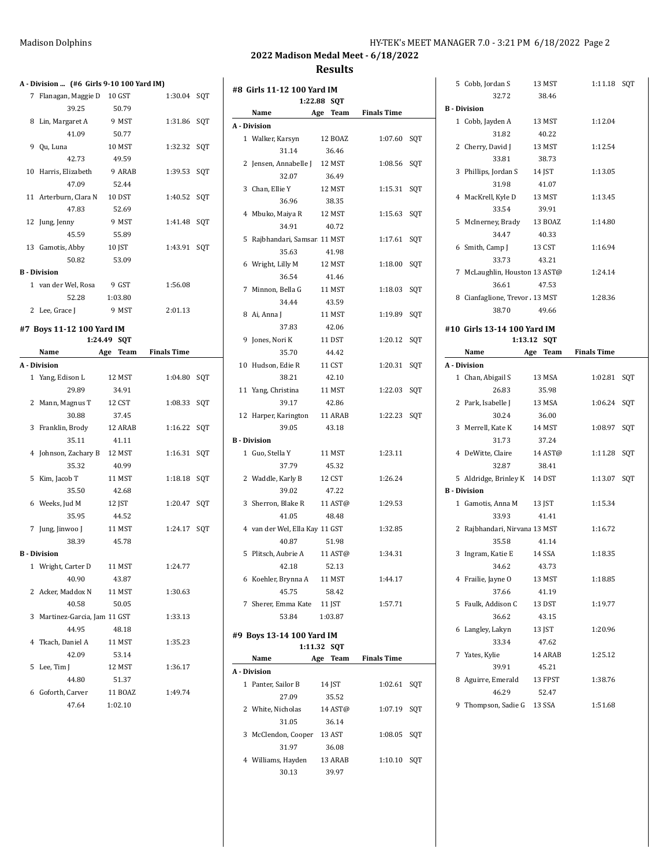| <b>Madison Dolphins</b> | HY-TEK's MEET MANAGER 7.0 - 3:21 PM 6/18/2022 Page 2 |  |
|-------------------------|------------------------------------------------------|--|
|                         |                                                      |  |

**#8 Girls 11-12 100 Yard IM**

|   | A - Division  (#6 Girls 9-10 100 Yard IM) |          |                    |     |
|---|-------------------------------------------|----------|--------------------|-----|
|   | 7 Flanagan, Maggie D 10 GST               |          | 1:30.04 SQT        |     |
|   | 39.25                                     | 50.79    |                    |     |
| 8 | Lin, Margaret A                           | 9 MST    | 1:31.86 SQT        |     |
|   | 41.09                                     | 50.77    |                    |     |
|   | 9 Qu, Luna                                | 10 MST   | 1:32.32            | SQT |
|   | 42.73                                     | 49.59    |                    |     |
|   | 10 Harris, Elizabeth                      | 9 ARAB   | 1:39.53            | SQT |
|   | 47.09                                     | 52.44    |                    |     |
|   | 11 Arterburn, Clara N                     | 10 DST   | 1:40.52            | SQT |
|   | 47.83                                     | 52.69    |                    |     |
|   | 12 Jung, Jenny                            | 9 MST    | 1:41.48            | SQT |
|   | 45.59                                     | 55.89    |                    |     |
|   | 13 Gamotis, Abby                          | 10 JST   | 1:43.91            | SQT |
|   | 50.82                                     | 53.09    |                    |     |
|   | <b>B</b> - Division                       |          |                    |     |
|   | 1 van der Wel, Rosa                       | 9 GST    | 1:56.08            |     |
|   | 52.28                                     | 1:03.80  |                    |     |
|   | 2 Lee, Grace J                            | 9 MST    | 2:01.13            |     |
|   |                                           |          |                    |     |
|   | #7 Boys 11-12 100 Yard IM                 |          |                    |     |
|   | 1:24.49<br>Name                           | SQT      | <b>Finals Time</b> |     |
|   | A - Division                              | Age Team |                    |     |
|   | 1 Yang, Edison L                          | 12 MST   | 1:04.80            |     |
|   | 29.89                                     | 34.91    |                    | SQT |
|   | 2 Mann, Magnus T                          | 12 CST   | 1:08.33            | SQT |
|   | 30.88                                     | 37.45    |                    |     |
|   | 3 Franklin, Brody                         | 12 ARAB  | 1:16.22            | SQT |
|   | 35.11                                     | 41.11    |                    |     |
|   | 4 Johnson, Zachary B                      | 12 MST   | 1:16.31            | SQT |
|   | 35.32                                     | 40.99    |                    |     |
| 5 | Kim, Jacob T                              | 11 MST   | 1:18.18            | SQT |
|   | 35.50                                     | 42.68    |                    |     |
|   | 6 Weeks, Jud M                            | 12 JST   | 1:20.47            | SOT |
|   | 35.95                                     | 44.52    |                    |     |
| 7 | Jung, Jinwoo J                            | 11 MST   | 1:24.17            | SQT |
|   | 38.39                                     | 45.78    |                    |     |
|   | <b>B</b> - Division                       |          |                    |     |
|   | 1 Wright, Carter D 11 MST                 |          | 1:24.77            |     |
|   | 40.90                                     | 43.87    |                    |     |
|   | 2 Acker, Maddox N                         | 11 MST   | 1:30.63            |     |
|   | 40.58                                     | 50.05    |                    |     |
|   |                                           |          |                    |     |
| 3 | Martinez-Garcia, Jam 11 GST<br>44.95      |          | 1:33.13            |     |
|   |                                           | 48.18    |                    |     |
| 4 | Tkach, Daniel A 11 MST                    |          | 1:35.23            |     |
|   | 42.09                                     | 53.14    |                    |     |
| 5 | Lee, Tim J                                | 12 MST   | 1:36.17            |     |
|   | 44.80                                     | 51.37    |                    |     |
|   | 6 Goforth, Carver 11 BOAZ                 |          | 1:49.74            |     |
|   | 47.64 1:02.10                             |          |                    |     |

|   | 1:22.88                        | SQT      |                    |     |
|---|--------------------------------|----------|--------------------|-----|
|   | Name                           | Age Team | <b>Finals Time</b> |     |
|   | A - Division                   |          |                    |     |
|   | 1 Walker, Karsyn               | 12 BOAZ  | 1:07.60            | SQT |
|   | 31.14                          | 36.46    |                    |     |
|   | 2 Jensen, Annabelle J 12 MST   |          | 1:08.56            | SQT |
|   | 32.07                          | 36.49    |                    |     |
|   | 3 Chan, Ellie Y                | 12 MST   | 1:15.31            | SQT |
|   | 36.96                          | 38.35    |                    |     |
|   | 4 Mbuko, Maiya R               | 12 MST   | 1:15.63            | SQT |
|   | 34.91                          | 40.72    |                    |     |
| 5 | Rajbhandari, Samsar 11 MST     |          | 1:17.61            | SQT |
|   | 35.63                          | 41.98    |                    |     |
|   | 6 Wright, Lilly M              | 12 MST   | 1:18.00            | SQT |
|   | 36.54                          |          |                    |     |
|   |                                | 41.46    |                    |     |
| 7 | Minnon, Bella G                | 11 MST   | 1:18.03            | SQT |
|   | 34.44                          | 43.59    |                    |     |
| 8 | Ai, Anna J                     | 11 MST   | 1:19.89            | SQT |
|   | 37.83                          | 42.06    |                    |     |
| 9 | Jones, Nori K                  | 11 DST   | 1:20.12            | SQT |
|   | 35.70                          | 44.42    |                    |     |
|   | 10 Hudson, Edie R              | 11 CST   | 1:20.31            | SQT |
|   | 38.21                          | 42.10    |                    |     |
|   | 11 Yang, Christina             | 11 MST   | 1:22.03            | SQT |
|   | 39.17                          | 42.86    |                    |     |
|   | 12 Harper, Karington           | 11 ARAB  | 1:22.23            | SQT |
|   | 39.05                          | 43.18    |                    |     |
|   | <b>B</b> - Division            |          |                    |     |
|   | 1 Guo, Stella Y                | 11 MST   | 1:23.11            |     |
|   | 37.79                          | 45.32    |                    |     |
|   | 2 Waddle, Karly B              | 12 CST   | 1:26.24            |     |
|   | 39.02                          | 47.22    |                    |     |
| 3 | Sherron, Blake R               | 11 AST@  | 1:29.53            |     |
|   | 41.05                          | 48.48    |                    |     |
|   | 4 van der Wel, Ella Kay 11 GST |          | 1:32.85            |     |
|   | 40.87                          | 51.98    |                    |     |
| 5 | Plitsch, Aubrie A 11 AST@      |          | 1:34.31            |     |
|   | 42.18                          | 52.13    |                    |     |
|   | 6 Koehler, Brynna A 11 MST     |          | 1:44.17            |     |
|   | 45.75                          | 58.42    |                    |     |
|   | 7 Sherer, Emma Kate 11 JST     |          | 1:57.71            |     |
|   | 53.84                          | 1:03.87  |                    |     |
|   |                                |          |                    |     |
|   | #9 Boys 13-14 100 Yard IM      |          |                    |     |
|   | 1:11.32                        | SQT      |                    |     |
|   | Name                           | Age Team | <b>Finals Time</b> |     |
|   | A - Division                   |          |                    |     |
|   | 1 Panter, Sailor B             | 14 JST   | 1:02.61            | SQT |
|   | 27.09                          | 35.52    |                    |     |
|   | 2 White, Nicholas              | 14 AST@  | 1:07.19            | SQT |
|   | 31.05                          | 36.14    |                    |     |
|   | 3 McClendon, Cooper 13 AST     |          | 1:08.05            | SQT |
|   | 31.97                          | 36.08    |                    |     |
|   | 4 Williams, Hayden             | 13 ARAB  | 1:10.10            | SQT |
|   | 30.13                          | 39.97    |                    |     |

|   | 5 Cobb, Jordan S                                    | 13 MST           | 1:11.18            | SQT |
|---|-----------------------------------------------------|------------------|--------------------|-----|
|   | 32.72                                               | 38.46            |                    |     |
|   | <b>B</b> - Division                                 |                  |                    |     |
|   | 1 Cobb, Jayden A                                    | 13 MST           | 1:12.04            |     |
|   | 31.82                                               | 40.22            |                    |     |
| 2 | Cherry, David J                                     | 13 MST           | 1:12.54            |     |
|   | 33.81                                               | 38.73            |                    |     |
| 3 | Phillips, Jordan S                                  | 14 JST           | 1:13.05            |     |
|   | 31.98                                               | 41.07            |                    |     |
|   | 4 MacKrell, Kyle D                                  | 13 MST           | 1:13.45            |     |
|   | 33.54                                               | 39.91            |                    |     |
| 5 | McInerney, Brady                                    | 13 BOAZ          | 1:14.80            |     |
|   | 34.47                                               | 40.33            |                    |     |
| 6 | Smith, Camp J                                       | 13 CST           | 1:16.94            |     |
|   | 33.73                                               | 43.21            |                    |     |
| 7 | McLaughlin, Houstor 13 AST@                         |                  | 1:24.14            |     |
|   | 36.61                                               | 47.53            |                    |     |
| 8 | Cianfaglione, Trevor 13 MST                         |                  | 1:28.36            |     |
|   | 38.70                                               | 49.66            |                    |     |
|   |                                                     |                  |                    |     |
|   | #10 Girls 13-14 100 Yard IM                         | 1:13.12 SQT      |                    |     |
|   | Name<br>Age                                         | Team             | <b>Finals Time</b> |     |
|   | A - Division                                        |                  |                    |     |
|   | 1 Chan, Abigail S                                   | 13 MSA           | 1:02.81            | SQT |
|   | 26.83                                               | 35.98            |                    |     |
|   |                                                     |                  |                    |     |
|   |                                                     |                  |                    |     |
| 2 | Park, Isabelle J                                    | 13 MSA           | 1:06.24            | SQT |
|   | 30.24                                               | 36.00            |                    |     |
| 3 | Merrell, Kate K                                     | 14 MST           | 1:08.97            | SQT |
|   | 31.73                                               | 37.24            |                    |     |
|   | 4 DeWitte, Claire<br>32.87                          | 14 AST@<br>38.41 | 1:11.28            | SQT |
|   |                                                     |                  |                    |     |
|   | 5 Aldridge, Brinley K 14 DST<br><b>B</b> - Division |                  | 1:13.07            | SQT |
|   | 1 Gamotis, Anna M                                   |                  | 1:15.34            |     |
|   | 33.93                                               | 13 JST<br>41.41  |                    |     |
| 2 | Rajbhandari, Nirvana 13 MST                         |                  | 1:16.72            |     |
|   | 35.58                                               | 41.14            |                    |     |
| 3 | Ingram, Katie E                                     | 14 SSA           | 1:18.35            |     |
|   | 34.62                                               | 43.73            |                    |     |
|   | 4 Frailie, Jayne O                                  | 13 MST           | 1:18.85            |     |
|   | 37.66                                               | 41.19            |                    |     |
| 5 | Faulk, Addison C                                    | 13 DST           | 1:19.77            |     |
|   | 36.62                                               | 43.15            |                    |     |
| 6 | Langley, Lakyn                                      | 13 JST           | 1:20.96            |     |
|   | 33.34                                               | 47.62            |                    |     |
|   | 7 Yates, Kylie                                      | 14 ARAB          | 1:25.12            |     |
|   | 39.91                                               | 45.21            |                    |     |
|   | 8 Aguirre, Emerald                                  | 13 FPST          | 1:38.76            |     |
|   | 46.29                                               | 52.47            |                    |     |
|   | 9 Thompson, Sadie G 13 SSA                          |                  | 1:51.68            |     |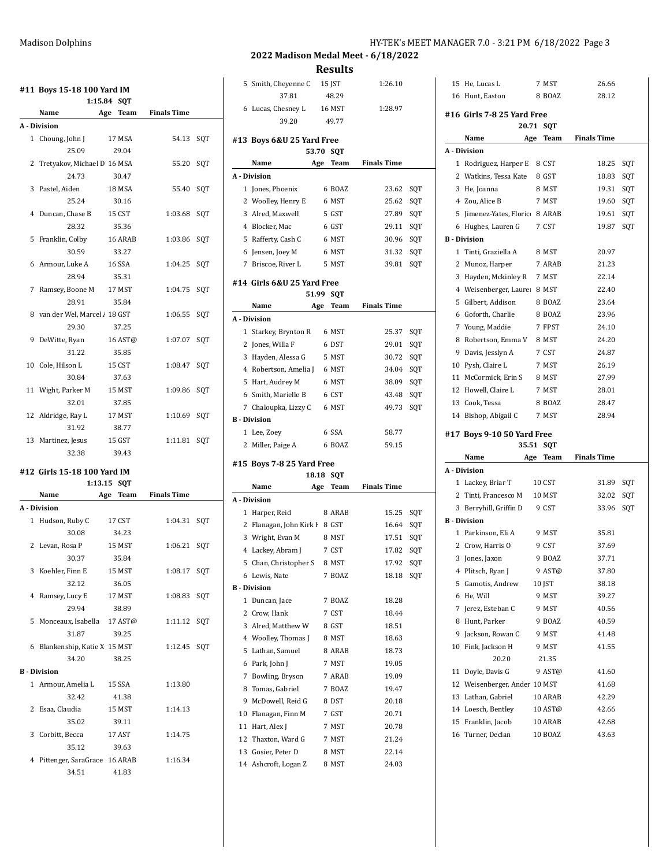|   | #11 Boys 15-18 100 Yard IM     | 1:15.84 SQT |               |                    |     |
|---|--------------------------------|-------------|---------------|--------------------|-----|
|   | Name                           | Age         | Team          | <b>Finals Time</b> |     |
|   | A - Division                   |             |               |                    |     |
|   | 1 Choung, John J               |             | 17 MSA        | 54.13 SQT          |     |
|   | 25.09                          |             | 29.04         |                    |     |
|   | 2 Tretyakov, Michael D 16 MSA  |             |               | 55.20 SQT          |     |
|   | 24.73                          |             | 30.47         |                    |     |
|   | 3 Pastel, Aiden                |             | 18 MSA        | 55.40              | SOT |
|   | 25.24                          |             | 30.16         |                    |     |
|   | 4 Duncan, Chase B              |             | 15 CST        | 1:03.68 SQT        |     |
|   | 28.32                          |             | 35.36         |                    |     |
| 5 | Franklin, Colby                |             | 16 ARAB       | 1:03.86            | SQT |
|   | 30.59                          |             | 33.27         |                    |     |
|   | 6 Armour, Luke A               |             | <b>16 SSA</b> | 1:04.25            | SOT |
|   | 28.94                          |             | 35.31         |                    |     |
| 7 | Ramsey, Boone M 17 MST         |             |               | 1:04.75 SQT        |     |
|   | 28.91                          |             | 35.84         |                    |     |
|   | 8 van der Wel, Marcel / 18 GST |             |               | 1:06.55            | SQT |
|   | 29.30                          |             | 37.25         |                    |     |
| 9 | DeWitte, Ryan                  |             | 16 AST@       | 1:07.07            | SQT |
|   | 31.22                          |             | 35.85         |                    |     |
|   | 10 Cole, Hilson L              |             | 15 CST        | 1:08.47            | SOT |
|   | 30.84                          |             | 37.63         |                    |     |
|   | 11 Wight, Parker M             |             | 15 MST        | 1:09.86            | SOT |
|   | 32.01                          |             | 37.85         |                    |     |
|   | 12 Aldridge, Ray L             |             | 17 MST        | 1:10.69            | SQT |
|   | 31.92                          |             | 38.77         |                    |     |
|   | 13 Martinez, Jesus             |             | 15 GST        | 1:11.81            | SOT |

#### **#12 Girls 15-18 100 Yard IM 1:13.15 SQT**

32.38 39.43

|   | Name                          | Age | Team   | <b>Finals Time</b> |     |
|---|-------------------------------|-----|--------|--------------------|-----|
|   | A - Division                  |     |        |                    |     |
|   | 1 Hudson, Ruby C              |     | 17 CST | 1:04.31            | SOT |
|   | 30.08                         |     | 34.23  |                    |     |
|   | 2 Levan, Rosa P               |     | 15 MST | 1:06.21            | SOT |
|   | 30.37                         |     | 35.84  |                    |     |
|   | 3 Koehler, Finn E             |     | 15 MST | 1:08.17            | SOT |
|   | 32.12                         |     | 36.05  |                    |     |
|   | 4 Ramsey, Lucy E              |     | 17 MST | 1:08.83            | SQT |
|   | 29.94                         |     | 38.89  |                    |     |
|   | 5 Monceaux, Isabella 17 AST@  |     |        | 1:11.12            | SOT |
|   | 31.87                         |     | 39.25  |                    |     |
|   | 6 Blankenship, Katie X 15 MST |     |        | 1:12.45            | SOT |
|   | 34.20                         |     | 38.25  |                    |     |
|   | <b>B</b> - Division           |     |        |                    |     |
|   | 1 Armour, Amelia L            |     | 15 SSA | 1:13.80            |     |
|   | 32.42                         |     | 41.38  |                    |     |
| 2 | Esaa, Claudia                 |     | 15 MST | 1:14.13            |     |
|   | 35.02                         |     | 39.11  |                    |     |
| 3 | Corbitt, Becca                |     | 17 AST | 1:14.75            |     |
|   | 35.12                         |     | 39.63  |                    |     |
| 4 | Pittenger, SaraGrace 16 ARAB  |     |        | 1:16.34            |     |
|   | 34.51                         |     | 41.83  |                    |     |
|   |                               |     |        |                    |     |

# **2022 Madison Medal Meet - 6/18/2022 Results** 15 He, Lucas L 7 MST 26.66

|    | 5 Smith, Cheyenne C                     | 15 JST                    | 1:26.10            |     |
|----|-----------------------------------------|---------------------------|--------------------|-----|
|    | 37.81                                   | 48.29                     |                    |     |
|    | 6 Lucas, Chesney L                      | 16 MST                    | 1:28.97            |     |
|    | 39.20                                   | 49.77                     |                    |     |
|    | #13 Boys 6&U 25 Yard Free               |                           |                    |     |
|    | 53.70                                   | <b>SOT</b>                |                    |     |
|    | Name                                    | Age<br>Team               | <b>Finals Time</b> |     |
|    | A - Division                            |                           |                    |     |
|    | 1 Jones, Phoenix                        | 6 BOAZ                    | 23.62              | SQT |
|    | 2 Woolley, Henry E                      | 6 MST                     | 25.62              | SQT |
|    | 3 Alred, Maxwell                        | 5 GST                     | 27.89              | SQT |
|    | 4 Blocker, Mac                          | 6 GST                     | 29.11              | SQT |
|    | 5 Rafferty, Cash C                      | 6 MST                     | 30.96              | SQT |
|    | 6 Jensen, Joey M                        | 6 MST                     | 31.32              | SQT |
|    | 7 Briscoe, River L                      | 5 MST                     | 39.81              | SQT |
|    |                                         |                           |                    |     |
|    | #14 Girls 6&U 25 Yard Free              |                           |                    |     |
|    | 51.99                                   | SQT                       |                    |     |
|    | Name                                    | Age<br>Team               | <b>Finals Time</b> |     |
|    | A - Division                            |                           |                    |     |
|    | 1 Starkey, Brynton R                    | 6 MST                     | 25.37              | SQT |
|    | 2 Jones, Willa F                        | 6 DST                     | 29.01              | SQT |
|    | 3 Hayden, Alessa G                      | 5 MST                     | 30.72              | SQT |
|    | 4 Robertson, Amelia J                   | 6 MST                     | 34.04              | SQT |
|    | 5 Hart, Audrey M                        | 6 MST                     | 38.09              | SQT |
|    | 6 Smith, Marielle B                     | 6 CST                     | 43.48              | SQT |
|    | 7 Chaloupka, Lizzy C                    | 6 MST                     | 49.73              | SQT |
|    | <b>B</b> - Division                     |                           |                    |     |
|    | 1 Lee, Zoey                             | 6 SSA                     | 58.77              |     |
|    |                                         |                           |                    |     |
|    | 2 Miller, Paige A                       | 6 BOAZ                    | 59.15              |     |
|    |                                         |                           |                    |     |
|    | #15 Boys 7-8 25 Yard Free               |                           |                    |     |
|    | 18.18<br>Name                           | <b>SQT</b><br>Age<br>Team | <b>Finals Time</b> |     |
|    | A - Division                            |                           |                    |     |
|    |                                         |                           |                    |     |
|    | 1 Harper, Reid                          | 8 ARAB                    | 15.25              | SQT |
|    | 2 Flanagan, John Kirk I 8 GST           |                           | 16.64              | SQT |
|    | 3 Wright, Evan M                        | 8 MST                     | 17.51              | SQT |
|    | 4 Lackey, Abram J                       | 7 CST                     | 17.82              | SQT |
| 5  | Chan, Christopher S                     | 8 MST                     | 17.92              | SQT |
|    | 6 Lewis, Nate                           | 7 BOAZ                    | 18.18              | SQT |
|    | <b>B</b> - Division                     |                           |                    |     |
|    | 1 Duncan, Jace                          | 7 BOAZ                    | 18.28              |     |
|    | 2 Crow, Hank                            | 7 CST                     | 18.44              |     |
|    | 3 Alred, Matthew W                      | 8 GST                     | 18.51              |     |
|    | 4 Woolley, Thomas J                     | 8 MST                     | 18.63              |     |
| 5  | Lathan, Samuel                          | 8 ARAB                    | 18.73              |     |
| 6  | Park, John J                            | 7 MST                     | 19.05              |     |
| 7  | Bowling, Bryson                         | 7 ARAB                    | 19.09              |     |
|    | 8 Tomas, Gabriel                        | 7 BOAZ                    | 19.47              |     |
| 9  | McDowell, Reid G                        | 8 DST                     | 20.18              |     |
|    | 10 Flanagan, Finn M                     | 7 GST                     | 20.71              |     |
| 11 | Hart, Alex J                            | 7 MST                     | 20.78              |     |
| 12 | Thaxton, Ward G                         | 7 MST                     | 21.24              |     |
| 14 | 13 Gosier, Peter D<br>Ashcroft, Logan Z | 8 MST<br>8 MST            | 22.14<br>24.03     |     |

|    | 16 Hunt, Easton                     | 8 BOAZ  | 28.12              |     |
|----|-------------------------------------|---------|--------------------|-----|
|    | #16 Girls 7-8 25 Yard Free          |         |                    |     |
|    | 20.71                               | SQT     |                    |     |
|    | Name<br>Age                         | Team    | <b>Finals Time</b> |     |
|    | A - Division                        |         |                    |     |
|    | 1 Rodriguez, Harper E               | 8 CST   | 18.25              | SQT |
| 2  | Watkins, Tessa Kate                 | 8 GST   | 18.83              | SQT |
| 3  | He, Joanna                          | 8 MST   | 19.31              | SQT |
|    | 4 Zou, Alice B                      | 7 MST   | 19.60              | SQT |
| 5  | Jimenez-Yates, Floric               | 8 ARAB  | 19.61              | SQT |
| 6  | Hughes, Lauren G                    | 7 CST   | 19.87              | SQT |
|    | <b>B</b> - Division                 |         |                    |     |
| 1  | Tinti, Graziella A                  | 8 MST   | 20.97              |     |
| 2  | Munoz, Harper                       | 7 ARAB  | 21.23              |     |
| 3  | Hayden, Mckinley R                  | 7 MST   | 22.14              |     |
| 4  | Weisenberger, Laure: 8 MST          |         | 22.40              |     |
| 5  | Gilbert, Addison                    | 8 BOAZ  | 23.64              |     |
| 6  | Goforth, Charlie                    | 8 BOAZ  | 23.96              |     |
| 7  | Young, Maddie                       | 7 FPST  | 24.10              |     |
| 8  | Robertson, Emma V                   | 8 MST   | 24.20              |     |
| 9  | Davis, Jesslyn A                    | 7 CST   | 24.87              |     |
|    | 10 Pysh, Claire L                   | 7 MST   | 26.19              |     |
|    | 11 McCormick, Erin S                | 8 MST   | 27.99              |     |
|    | 12 Howell. Claire L                 | 7 MST   | 28.01              |     |
|    | 13 Cook, Tessa                      | 8 BOAZ  | 28.47              |     |
| 14 | Bishop, Abigail C                   | 7 MST   | 28.94              |     |
|    |                                     |         |                    |     |
|    |                                     |         |                    |     |
|    | #17 Boys 9-10 50 Yard Free<br>35.51 | SQT     |                    |     |
|    | Name<br>Age                         | Team    | <b>Finals Time</b> |     |
|    | A - Division                        |         |                    |     |
| 1  | Lackey, Briar T                     | 10 CST  | 31.89              | SQT |
| 2  | Tinti, Francesco M                  | 10 MST  | 32.02              | SQT |
| 3  | Berryhill, Griffin D                | 9 CST   | 33.96              | SQT |
|    | <b>B</b> Division                   |         |                    |     |
| 1  | Parkinson, Eli A                    | 9 MST   | 35.81              |     |
| 2  | Crow, Harris O                      | 9 CST   | 37.69              |     |
| 3  | Jones, Jaxon                        | 9 BOAZ  | 37.71              |     |
| 4  | Plitsch, Ryan J                     | 9 AST@  | 37.80              |     |
| 5  | Gamotis, Andrew                     | 10 JST  | 38.18              |     |
| 6  | He, Will                            | 9 MST   | 39.27              |     |
| 7  | Jerez, Esteban C                    | 9 MST   | 40.56              |     |
| 8  | Hunt, Parker                        | 9 BOAZ  | 40.59              |     |
| 9  | Jackson, Rowan C                    | 9 MST   | 41.48              |     |
| 10 | Fink, Jackson H                     | 9 MST   | 41.55              |     |
|    | 20.20                               | 21.35   |                    |     |
| 11 | Doyle, Davis G                      | 9 AST@  | 41.60              |     |
| 12 | Weisenberger, Ander 10 MST          |         | 41.68              |     |
| 13 | Lathan, Gabriel                     | 10 ARAB | 42.29              |     |
|    | 14 Loesch, Bentley                  | 10 AST@ | 42.66              |     |
| 15 | Franklin, Jacob                     | 10 ARAB | 42.68              |     |
| 16 | Turner, Declan                      | 10 BOAZ | 43.63              |     |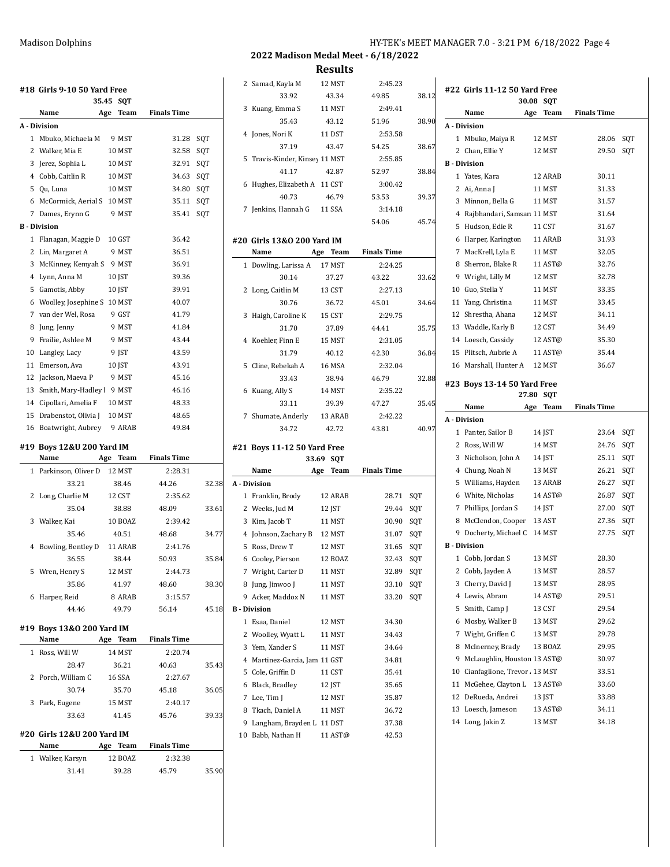|    | #18  Girls 9-10 50 Yard Free  |     |             |                    |       |
|----|-------------------------------|-----|-------------|--------------------|-------|
|    | 35.45                         |     | SQT         |                    |       |
|    | Name                          | Age | <b>Team</b> | <b>Finals Time</b> |       |
|    | A - Division                  |     |             |                    |       |
|    | 1 Mbuko, Michaela M           |     | 9 MST       | 31.28              | SQT   |
|    | 2 Walker, Mia E               |     | 10 MST      | 32.58              | SQT   |
|    | 3 Jerez, Sophia L             |     | 10 MST      | 32.91              | SQT   |
|    | 4 Cobb, Caitlin R             |     | 10 MST      | 34.63              | SQT   |
|    | 5 Qu, Luna                    |     | 10 MST      | 34.80              | SQT   |
|    | 6 McCormick, Aerial S         |     | 10 MST      | 35.11              | SQT   |
|    | 7 Dames, Erynn G              |     | 9 MST       | 35.41              | SQT   |
|    | <b>B</b> - Division           |     |             |                    |       |
| 1  | Flanagan, Maggie D            |     | 10 GST      | 36.42              |       |
|    | 2 Lin, Margaret A             |     | 9 MST       | 36.51              |       |
|    | 3 McKinney, Kemyah S 9 MST    |     |             | 36.91              |       |
|    | 4 Lynn, Anna M                |     | 10 JST      | 39.36              |       |
|    | 5 Gamotis, Abby               |     | 10 JST      | 39.91              |       |
|    | 6 Woolley, Josephine S 10 MST |     |             | 40.07              |       |
|    | 7 van der Wel, Rosa           |     | 9 GST       | 41.79              |       |
|    | 8 Jung, Jenny                 |     | 9 MST       | 41.84              |       |
|    | 9 Frailie, Ashlee M           |     | 9 MST       | 43.44              |       |
| 10 | Langley, Lacy                 |     | 9 IST       | 43.59              |       |
| 11 | Emerson, Ava                  |     | 10 JST      | 43.91              |       |
| 12 | Jackson, Maeva P              |     | 9 MST       | 45.16              |       |
| 13 | Smith, Mary-Hadley   9 MST    |     |             | 46.16              |       |
|    | 14 Cipollari, Amelia F        |     | 10 MST      | 48.33              |       |
| 15 | Drabenstot, Olivia J          |     | 10 MST      | 48.65              |       |
|    | 16 Boatwright, Aubrey 9 ARAB  |     |             | 49.84              |       |
|    | #19 Boys 12&U 200 Yard IM     |     |             |                    |       |
|    | Name                          | Age | Team        | <b>Finals Time</b> |       |
|    | 1 Parkinson, Oliver D         |     | 12 MST      | 2:28.31            |       |
|    | 33.21                         |     | 38.46       | 44.26              | 32.38 |
| 2  | Long, Charlie M               |     | 12 CST      | 2:35.62            |       |
|    | 35.04                         |     | 38.88       | 48.09              | 33.61 |
|    | 3 Walker, Kai                 |     | 10 BOAZ     | 2:39.42            |       |
|    | 3546                          |     | 40.51       | 48.68              | 34.77 |

| 35.46                | 40.51   | 48.68   | 34.77 |
|----------------------|---------|---------|-------|
| 4 Bowling, Bentley D | 11 ARAB | 2:41.76 |       |
| 36.55                | 38.44   | 50.93   | 35.84 |
| 5 Wren, Henry S      | 12 MST  | 2:44.73 |       |
| 35.86                | 41.97   | 48.60   | 38.30 |
| Harper, Reid<br>6.   | 8 ARAB  | 3:15.57 |       |
| 44.46                | 49.79   | 56.14   | 45.18 |
|                      |         |         |       |

### **#19 Boys 13&O 200 Yard IM**

| Name               | Team<br>Age | <b>Finals Time</b> |       |
|--------------------|-------------|--------------------|-------|
| Ross, Will W       | 14 MST      | 2:20.74            |       |
| 28.47              | 36.21       | 40.63              | 35.43 |
| 2 Porch, William C | 16 SSA      | 2:27.67            |       |
| 30.74              | 35.70       | 45.18              | 36.05 |
| 3 Park, Eugene     | 15 MST      | 2:40.17            |       |
| 33.63              | 41.45       | 45.76              | 39.33 |
|                    |             |                    |       |

### **#20 Girls 12&U 200 Yard IM**

| Name             | Team<br>Age | <b>Finals Time</b> |       |
|------------------|-------------|--------------------|-------|
| 1 Walker, Karsyn | 12 BOAZ     | 2:32.38            |       |
| 31.41            | 39.28       | 45.79              | 35.90 |

Madison Dolphins Mathematic Mathematic HY-TEK's MEET MANAGER 7.0 - 3:21 PM 6/18/2022 Page 4

|              | 2 Samad, Kayla M                          | 12 MST                 | 2:45.23            |       |
|--------------|-------------------------------------------|------------------------|--------------------|-------|
|              | 33.92                                     | 43.34                  | 49.85              | 38.12 |
| 3            | Kuang, Emma S                             | 11 MST                 | 2:49.41            |       |
|              | 35.43                                     | 43.12                  | 51.96              | 38.90 |
|              | 4 Jones, Nori K                           | 11 DST                 | 2:53.58            |       |
|              | 37.19                                     | 43.47                  | 54.25              | 38.67 |
| 5            | Travis-Kinder, Kinsey 11 MST              |                        | 2:55.85            |       |
|              | 41.17                                     | 42.87                  | 52.97              | 38.84 |
|              | 6 Hughes, Elizabeth A                     | 11 CST                 | 3:00.42            |       |
|              | 40.73                                     | 46.79                  | 53.53              | 39.37 |
| 7            | Jenkins, Hannah G                         | <b>11 SSA</b>          | 3:14.18            |       |
|              |                                           |                        | 54.06              | 45.74 |
|              |                                           |                        |                    |       |
|              | #20 Girls 13&0 200 Yard IM<br><b>Name</b> | Age Team               | <b>Finals Time</b> |       |
| $\mathbf{1}$ | Dowling, Larissa A                        | 17 MST                 | 2:24.25            |       |
|              | 30.14                                     | 37.27                  | 43.22              | 33.62 |
|              | 2 Long, Caitlin M                         | 13 CST                 | 2:27.13            |       |
|              | 30.76                                     | 36.72                  | 45.01              | 34.64 |
| 3            | Haigh, Caroline K                         | 15 CST                 | 2:29.75            |       |
|              | 31.70                                     | 37.89                  | 44.41              | 35.75 |
|              | 4 Koehler, Finn E                         | 15 MST                 | 2:31.05            |       |
|              | 31.79                                     | 40.12                  | 42.30              | 36.84 |
| 5            | Cline, Rebekah A                          | 16 MSA                 | 2:32.04            |       |
|              | 33.43                                     | 38.94                  | 46.79              | 32.88 |
| 6            | Kuang, Ally S                             | 14 MST                 | 2:35.22            |       |
|              | 33.11                                     | 39.39                  | 47.27              | 35.45 |
| 7            | Shumate, Anderly                          | 13 ARAB                | 2:42.22            |       |
|              | 34.72                                     | 42.72                  | 43.81              | 40.97 |
|              |                                           |                        |                    |       |
|              | #21  Boys 11-12 50 Yard Free              |                        |                    |       |
|              | 33.69<br>Name                             | <b>SQT</b><br>Age Team | <b>Finals Time</b> |       |
|              | A - Division                              |                        |                    |       |
|              | 1 Franklin, Brody                         | 12 ARAB                | 28.71              | SQT   |
|              | 2 Weeks, Jud M                            | 12 JST                 | 29.44              | SQT   |
|              | 3 Kim, Jacob T                            | 11 MST                 | 30.90              | SQT   |
|              | 4 Johnson, Zachary B 12 MST               |                        | 31.07              | SQT   |
|              | 5 Ross, Drew T                            | 12 MST                 | 31.65              | SQT   |
|              | 6 Cooley, Pierson                         | 12 BOAZ                | 32.43              | SQT   |
|              | 7 Wright, Carter D                        | 11 MST                 | 32.89              | SQT   |
|              | 8 Jung, Jinwoo J                          | 11 MST                 | 33.10              | SQT   |
|              | 9 Acker, Maddox N                         | 11 MST                 | 33.20              | SQT   |
|              | <b>B</b> - Division                       |                        |                    |       |
|              | 1 Esaa, Daniel                            | 12 MST                 | 34.30              |       |
|              | 2 Woolley, Wyatt L                        | 11 MST                 | 34.43              |       |
|              | 3 Yem, Xander S                           | 11 MST                 | 34.64              |       |
|              | 4 Martinez-Garcia, Jam 11 GST             |                        | 34.81              |       |
| 5            | Cole, Griffin D                           | 11 CST                 | 35.41              |       |
|              | 6 Black, Bradley                          | 12 JST                 | 35.65              |       |
|              | 7 Lee, Tim J                              | 12 MST                 | 35.87              |       |
|              | 8 Tkach, Daniel A                         | 11 MST                 | 36.72              |       |
| 9            | Langham, Brayden L 11 DST                 |                        | 37.38              |       |
|              |                                           |                        |                    |       |

|                         | #22 Girls 11-12 50 Yard Free |       |            |                    |       |     |
|-------------------------|------------------------------|-------|------------|--------------------|-------|-----|
|                         |                              | 30.08 | <b>SQT</b> |                    |       |     |
|                         | Name                         | Age   | Team       | <b>Finals Time</b> |       |     |
|                         | A - Division                 |       |            |                    |       |     |
| 1                       | Mbuko, Maiya R               |       | 12 MST     |                    | 28.06 | SQT |
|                         | 2 Chan, Ellie Y              |       | 12 MST     |                    | 29.50 | SQT |
|                         | <b>B</b> - Division          |       |            |                    |       |     |
| 1                       | Yates, Kara                  |       | 12 ARAB    |                    | 30.11 |     |
| 2                       | Ai, Anna J                   |       | 11 MST     |                    | 31.33 |     |
| 3                       | Minnon, Bella G              |       | 11 MST     |                    | 31.57 |     |
|                         | 4 Rajbhandari, Samsar 11 MST |       |            |                    | 31.64 |     |
| 5                       | Hudson, Edie R               |       | 11 CST     |                    | 31.67 |     |
| 6                       | Harper, Karington            |       | 11 ARAB    |                    | 31.93 |     |
|                         | 7 MacKrell, Lyla E           |       | 11 MST     |                    | 32.05 |     |
| 8                       | Sherron, Blake R             |       | 11 AST@    |                    | 32.76 |     |
|                         | 9 Wright, Lilly M            |       | 12 MST     |                    | 32.78 |     |
|                         | 10 Guo, Stella Y             |       | 11 MST     |                    | 33.35 |     |
| 11                      | Yang, Christina              |       | 11 MST     |                    | 33.45 |     |
|                         | 12 Shrestha, Ahana           |       | 12 MST     |                    | 34.11 |     |
|                         | 13 Waddle, Karly B           |       | 12 CST     |                    | 34.49 |     |
|                         | 14 Loesch, Cassidy           |       | 12 AST@    |                    | 35.30 |     |
| 15                      | Plitsch, Aubrie A            |       | 11 AST@    |                    | 35.44 |     |
| 16                      | Marshall, Hunter A           |       | 12 MST     |                    | 36.67 |     |
|                         |                              |       |            |                    |       |     |
|                         | #23 Boys 13-14 50 Yard Free  | 27.80 | SQT        |                    |       |     |
|                         | Name                         | Age   | Team       | <b>Finals Time</b> |       |     |
|                         | A - Division                 |       |            |                    |       |     |
| 1                       | Panter, Sailor B             |       | 14 JST     |                    | 23.64 | SQT |
| 2                       | Ross, Will W                 |       | 14 MST     |                    | 24.76 | SQT |
| 3                       | Nicholson, John A            |       | 14 JST     |                    | 25.11 | SQT |
|                         | 4 Chung, Noah N              |       | 13 MST     |                    | 26.21 | SQT |
|                         | 5 Williams, Hayden           |       | 13 ARAB    |                    | 26.27 | SQT |
|                         | 6 White, Nicholas            |       | 14 AST@    |                    | 26.87 | SQT |
|                         | 7 Phillips, Jordan S         |       | 14 JST     |                    | 27.00 | SQT |
| 8                       | McClendon, Cooper            |       | 13 AST     |                    | 27.36 | SQT |
|                         | 9 Docherty, Michael C        |       | 14 MST     |                    | 27.75 | SQT |
|                         | <b>B</b> Division            |       |            |                    |       |     |
| 1                       | Cobb, Jordan S               |       | 13 MST     |                    | 28.30 |     |
| $\overline{\mathbf{c}}$ | Cobb, Jayden A               |       | 13 MST     |                    | 28.57 |     |
| 3                       | Cherry, David J              |       | 13 MST     |                    | 28.95 |     |
| 4                       | Lewis, Abram                 |       | 14 AST@    |                    | 29.51 |     |
| 5                       | Smith, Camp J                |       | 13 CST     |                    | 29.54 |     |
| 6                       | Mosby, Walker B              |       | 13 MST     |                    | 29.62 |     |
| 7                       | Wight, Griffen C             |       | 13 MST     |                    | 29.78 |     |
| 8                       | McInerney, Brady             |       | 13 BOAZ    |                    | 29.95 |     |
| 9                       | McLaughlin, Houstor 13 AST@  |       |            |                    | 30.97 |     |
| 10                      | Cianfaglione. Trevor. 13 MST |       |            |                    | 33.51 |     |
| 11                      | McGehee, Clayton L           |       | 13 AST@    |                    | 33.60 |     |
| 12                      | DeRueda, Andrei              |       | 13 JST     |                    | 33.88 |     |
| 13                      | Loesch, Jameson              |       | 13 AST@    |                    | 34.11 |     |
| 14                      | Long, Jakin Z                |       | 13 MST     |                    | 34.18 |     |
|                         |                              |       |            |                    |       |     |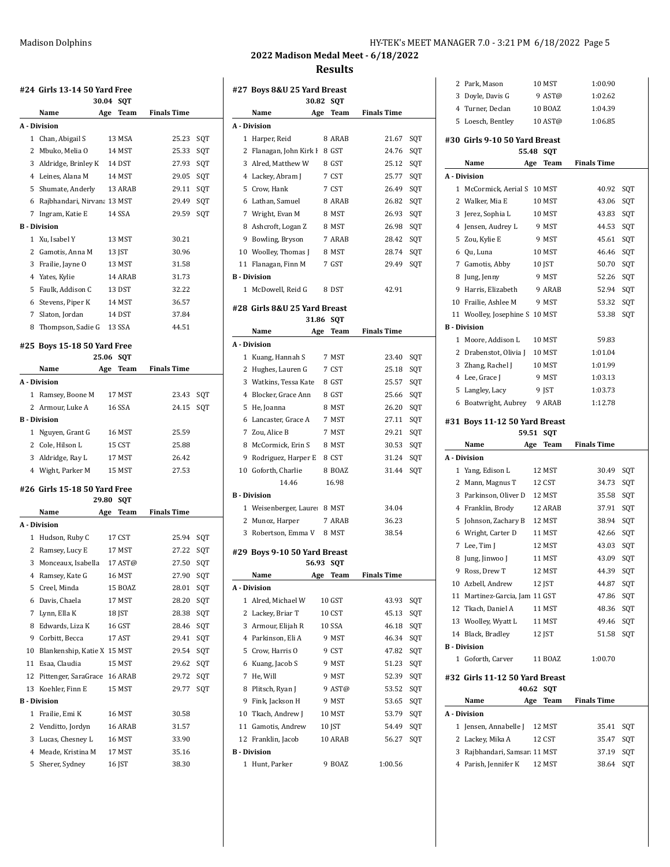| HY-TEK's MEET MANAGER 7.0 - 3:21 PM 6/18/2022 Page 5 |  |  |
|------------------------------------------------------|--|--|
|------------------------------------------------------|--|--|

|              | #24 Girls 13-14 50 Yard Free           |       |                   |                    |     |
|--------------|----------------------------------------|-------|-------------------|--------------------|-----|
|              |                                        | 30.04 | SQT               |                    |     |
|              | Name                                   | Age   | Team              | <b>Finals Time</b> |     |
|              | A - Division                           |       |                   |                    |     |
| $\mathbf{1}$ | Chan, Abigail S                        |       | 13 MSA            | 25.23              | SQT |
| 2            | Mbuko, Melia O                         |       | 14 MST            | 25.33              | SQT |
|              | 3 Aldridge, Brinley K 14 DST           |       |                   | 27.93              | SQT |
|              | 4 Leines, Alana M                      |       | 14 MST            | 29.05              | SQT |
|              | 5 Shumate, Anderly                     |       | 13 ARAB           | 29.11              | SQT |
|              | 6 Rajbhandari, Nirvana 13 MST          |       |                   | 29.49              | SQT |
| 7            | Ingram, Katie E                        |       | 14 SSA            | 29.59              | SQT |
|              | <b>B</b> - Division                    |       |                   |                    |     |
| $\mathbf{1}$ | Xu, Isabel Y                           |       | 13 MST            | 30.21              |     |
|              | 2 Gamotis, Anna M                      |       | 13 JST            | 30.96              |     |
|              | 3 Frailie, Jayne O                     |       | 13 MST            | 31.58              |     |
|              | 4 Yates, Kylie                         |       | 14 ARAB           | 31.73              |     |
|              | 5 Faulk, Addison C                     |       | 13 DST            | 32.22              |     |
|              | 6 Stevens, Piper K                     |       | 14 MST            | 36.57              |     |
|              | 7 Slaton, Jordan                       |       | 14 DST            | 37.84              |     |
|              | 8 Thompson, Sadie G                    |       | 13 SSA            | 44.51              |     |
|              | #25 Boys 15-18 50 Yard Free            |       |                   |                    |     |
|              |                                        | 25.06 | <b>SQT</b>        |                    |     |
|              | Name                                   | Age   | Team              | <b>Finals Time</b> |     |
|              | A - Division                           |       |                   |                    |     |
| 1            | Ramsey, Boone M                        |       | 17 MST            | 23.43              | SQT |
|              | 2 Armour, Luke A                       |       | 16 SSA            | 24.15              | SQT |
|              | <b>B</b> - Division                    |       |                   |                    |     |
| $\mathbf{1}$ | Nguyen, Grant G                        |       | 16 MST            | 25.59              |     |
|              | 2 Cole, Hilson L                       |       | 15 CST            | 25.88              |     |
|              | 3 Aldridge, Ray L                      |       | 17 MST            | 26.42              |     |
|              | 4 Wight, Parker M                      |       | 15 MST            | 27.53              |     |
|              | #26 Girls 15-18 50 Yard Free           |       |                   |                    |     |
|              |                                        | 29.80 | <b>SQT</b>        |                    |     |
|              | Name                                   | Age   | Team              | <b>Finals Time</b> |     |
|              | A - Division                           |       |                   |                    |     |
| 1            | Hudson, Ruby C                         |       | 17 CST            | 25.94              | SQT |
|              | 2 Ramsey, Lucy E                       |       | 17 MST            | 27.22              | SQT |
| 3            | Monceaux, Isabella                     |       | 17 AST@           | 27.50              | SQT |
|              | 4 Ramsey, Kate G                       |       | 16 MST            | 27.90              | SQT |
|              | 5 Creel, Minda                         |       | 15 BOAZ           | 28.01              | SQT |
|              | 6 Davis, Chaela                        |       | 17 MST            | 28.20              | SQT |
|              | 7 Lynn, Ella K                         |       | 18 JST            | 28.38              | SQT |
| 8            | Edwards, Liza K                        |       | 16 GST            | 28.46              | SQT |
|              | 9 Corbitt, Becca                       |       | 17 AST            | 29.41              | SQT |
| 10           | Blankenship, Katie X 15 MST            |       |                   | 29.54              | SQT |
|              | 11 Esaa, Claudia                       |       | 15 MST            | 29.62              | SQT |
| 12           | Pittenger, SaraGrace                   |       | 16 ARAB           | 29.72              | SQT |
| 13           | Koehler, Finn E                        |       | 15 MST            | 29.77              | SQT |
|              | <b>B</b> - Division                    |       |                   |                    |     |
| 1            | Frailie, Emi K                         |       | 16 MST            | 30.58              |     |
| 3            | 2 Venditto, Jordyn<br>Lucas, Chesney L |       | 16 ARAB<br>16 MST | 31.57<br>33.90     |     |
|              | 4 Meade, Kristina M                    |       | 17 MST            | 35.16              |     |
| 5            | Sherer, Sydney                         |       | 16 JST            | 38.30              |     |
|              |                                        |       |                   |                    |     |

| #27 Boys 8&U 25 Yard Breast |                                         |       |                |                    |            |
|-----------------------------|-----------------------------------------|-------|----------------|--------------------|------------|
|                             | Name                                    | 30.82 | SQT            | <b>Finals Time</b> |            |
|                             |                                         | Age   | Team           |                    |            |
|                             | A - Division                            |       |                |                    |            |
| 1                           | Harper, Reid<br>2 Flanagan, John Kirk F |       | 8 ARAB         | 21.67              | SQT        |
|                             | 3 Alred, Matthew W                      |       | 8 GST<br>8 GST | 24.76<br>25.12     | SQT        |
|                             | 4 Lackey, Abram J                       |       | 7 CST          | 25.77              | SQT        |
|                             | 5 Crow, Hank                            |       | 7 CST          | 26.49              | SQT<br>SQT |
|                             | 6 Lathan, Samuel                        |       | 8 ARAB         |                    |            |
|                             | 7 Wright, Evan M                        |       | 8 MST          | 26.82<br>26.93     | SQT<br>SQT |
|                             | 8 Ashcroft, Logan Z                     |       | 8 MST          | 26.98              | SQT        |
|                             |                                         |       | 7 ARAB         | 28.42              |            |
|                             | 9 Bowling, Bryson                       |       |                |                    | SQT        |
|                             | 10 Woolley, Thomas J                    |       | 8 MST          | 28.74              | SQT        |
|                             | 11 Flanagan, Finn M                     |       | 7 GST          | 29.49              | SQT        |
|                             | <b>B</b> - Division                     |       |                |                    |            |
|                             | 1 McDowell, Reid G                      |       | 8 DST          | 42.91              |            |
|                             | #28 Girls 8&U 25 Yard Breast            |       |                |                    |            |
|                             |                                         | 31.86 | <b>SQT</b>     |                    |            |
|                             | Name                                    | Age   | <b>Team</b>    | <b>Finals Time</b> |            |
|                             | A - Division                            |       |                |                    |            |
|                             | 1 Kuang, Hannah S                       |       | 7 MST          | 23.40              | SQT        |
|                             | 2 Hughes, Lauren G                      |       | 7 CST          | 25.18              | SOT        |
|                             | 3 Watkins, Tessa Kate                   |       | 8 GST          | 25.57              | SQT        |
|                             | 4 Blocker, Grace Ann                    |       | 8 GST          | 25.66              | SQT        |
|                             | 5 He, Joanna                            |       | 8 MST          | 26.20              | SQT        |
|                             | 6 Lancaster, Grace A                    |       | 7 MST          | 27.11              | SQT        |
|                             | 7 Zou, Alice B                          |       | 7 MST          | 29.21              | SQT        |
|                             | 8 McCormick, Erin S                     |       | 8 MST          | 30.53              | SQT        |
| 9                           | Rodriguez, Harper E                     |       | 8 CST          | 31.24              | SQT        |
|                             | 10 Goforth, Charlie                     |       | 8 BOAZ         | 31.44              | SQT        |
|                             | 14.46                                   |       | 16.98          |                    |            |
|                             | <b>B</b> - Division                     |       |                |                    |            |
|                             | 1 Weisenberger, Laure: 8 MST            |       |                | 34.04              |            |
|                             | 2 Munoz, Harper                         |       | 7 ARAB         | 36.23              |            |
| 3                           | Robertson, Emma V                       |       | 8 MST          | 38.54              |            |
|                             | #29 Boys 9-10 50 Yard Breast            |       |                |                    |            |
|                             |                                         | 56.93 | <b>SQT</b>     |                    |            |
|                             | Name                                    |       | Age Team       | <b>Finals Time</b> |            |
|                             | A - Division                            |       |                |                    |            |
|                             | 1 Alred, Michael W                      |       | 10 GST         | 43.93              | SQT        |
|                             | 2 Lackey, Briar T                       |       | 10 CST         | 45.13              | SQT        |
|                             | 3 Armour, Elijah R                      |       | <b>10 SSA</b>  | 46.18              | SQT        |
|                             | 4 Parkinson, Eli A                      |       | 9 MST          | 46.34              | SQT        |
|                             | 5 Crow, Harris O                        |       | 9 CST          | 47.82              | SQT        |
|                             | 6 Kuang, Jacob S                        |       | 9 MST          | 51.23              | SQT        |
|                             | 7 He, Will                              |       | 9 MST          | 52.39              | SQT        |
|                             | 8 Plitsch, Ryan J                       |       | 9 AST@         | 53.52              | SQT        |
|                             | 9 Fink, Jackson H                       |       | 9 MST          | 53.65              | SQT        |
|                             | 10 Tkach, Andrew J                      |       | 10 MST         | 53.79              | SQT        |
|                             | 11 Gamotis, Andrew                      |       | 10 JST         | 54.49              | SQT        |
|                             | 12 Franklin, Jacob                      |       | 10 ARAB        | 56.27              | SQT        |
|                             | <b>B</b> - Division                     |       |                |                    |            |
|                             | 1 Hunt, Parker                          |       | 9 BOAZ         | 1:00.56            |            |

| 2  | Park, Mason                             |     | 10 MST     | 1:00.90            |     |
|----|-----------------------------------------|-----|------------|--------------------|-----|
| 3  | Doyle, Davis G                          |     | 9 AST@     | 1:02.62            |     |
|    | 4 Turner, Declan                        |     | 10 BOAZ    | 1:04.39            |     |
| 5  | Loesch, Bentley                         |     | 10 AST@    | 1:06.85            |     |
|    | #30  Girls 9-10 50 Yard Breast          |     |            |                    |     |
|    | 55.48                                   |     | <b>SQT</b> |                    |     |
|    | Name<br>Age                             |     | Team       | <b>Finals Time</b> |     |
|    | A - Division                            |     |            |                    |     |
| 1  | McCormick, Aerial S                     |     | 10 MST     | 40.92              | SQT |
|    | 2 Walker, Mia E                         |     | 10 MST     | 43.06              | SQT |
| 3  | Jerez, Sophia L                         |     | 10 MST     | 43.83              | SQT |
|    | 4 Jensen, Audrey L                      |     | 9 MST      | 44.53              | SQT |
|    | 5 Zou, Kylie E                          |     | 9 MST      | 45.61              | SQT |
|    | 6 Qu, Luna                              |     | 10 MST     | 46.46              | SQT |
|    | 7 Gamotis, Abby                         |     | 10 JST     | 50.70              | SQT |
| 8  | Jung, Jenny                             |     | 9 MST      | 52.26              | SQT |
| 9  | Harris, Elizabeth                       |     | 9 ARAB     | 52.94              | SQT |
| 10 | Frailie, Ashlee M                       |     | 9 MST      | 53.32              | SQT |
| 11 | Woolley, Josephine S                    |     | 10 MST     | 53.38              | SQT |
|    | <b>B</b> - Division                     |     |            |                    |     |
|    | 1 Moore, Addison L                      |     | 10 MST     | 59.83              |     |
|    | 2 Drabenstot, Olivia J                  |     | 10 MST     | 1:01.04            |     |
| 3  | Zhang, Rachel J                         |     | 10 MST     | 1:01.99            |     |
|    | 4 Lee, Grace J                          |     | 9 MST      | 1:03.13            |     |
| 5  | Langley, Lacy                           |     | 9 JST      | 1:03.73            |     |
|    | 6 Boatwright, Aubrey                    |     | 9 ARAB     | 1:12.78            |     |
|    |                                         |     |            |                    |     |
|    | #31 Boys 11-12 50 Yard Breast           |     |            |                    |     |
|    |                                         |     |            |                    |     |
|    | 59.51                                   |     | SQT        |                    |     |
|    | Name                                    | Age | Team       | <b>Finals Time</b> |     |
|    | A - Division                            |     |            |                    |     |
| 1  | Yang, Edison L                          |     | 12 MST     | 30.49              | SQT |
| 2  | Mann, Magnus T                          |     | 12 CST     | 34.73              | SQT |
| 3  | Parkinson, Oliver D                     |     | 12 MST     | 35.58              | SQT |
|    | 4 Franklin, Brody                       |     | 12 ARAB    | 37.91              | SQT |
| 5  | Johnson, Zachary B                      |     | 12 MST     | 38.94              | SQT |
| 6  | Wright, Carter D                        |     | 11 MST     | 42.66              | SQT |
| 7  | Lee, Tim J                              |     | 12 MST     | 43.03              | SQT |
| 8  | Jung, Jinwoo J                          |     | 11 MST     | 43.09              | SQT |
|    | 9 Ross, Drew T                          |     | 12 MST     | 44.39              | SQT |
|    | 10 Azbell, Andrew                       |     | 12 JST     | 44.87              | SQT |
|    | 11 Martinez-Garcia, Jam 11 GST          |     |            | 47.86 SQT          |     |
|    | 12 Tkach, Daniel A                      |     | 11 MST     | 48.36 SQT          |     |
|    | 13 Woolley, Wyatt L                     |     | 11 MST     | 49.46 SQT          |     |
|    | 14 Black, Bradley                       |     | 12 JST     | 51.58              | SQT |
|    | <b>B</b> - Division                     |     |            |                    |     |
|    | 1 Goforth, Carver                       |     | 11 BOAZ    | 1:00.70            |     |
|    | #32 Girls 11-12 50 Yard Breast<br>40.62 |     | SQT        |                    |     |
|    | Name                                    | Age | Team       | <b>Finals Time</b> |     |
|    | A - Division                            |     |            |                    |     |
|    | 1 Jensen, Annabelle J                   |     | 12 MST     | 35.41              | SQT |
|    | 2 Lackey, Mika A                        |     | 12 CST     | 35.47 SQT          |     |
|    | 3 Rajbhandari, Samsar 11 MST            |     |            | 37.19              | SQT |
|    | 4 Parish, Jennifer K                    |     | 12 MST     | 38.64              | SQT |
|    |                                         |     |            |                    |     |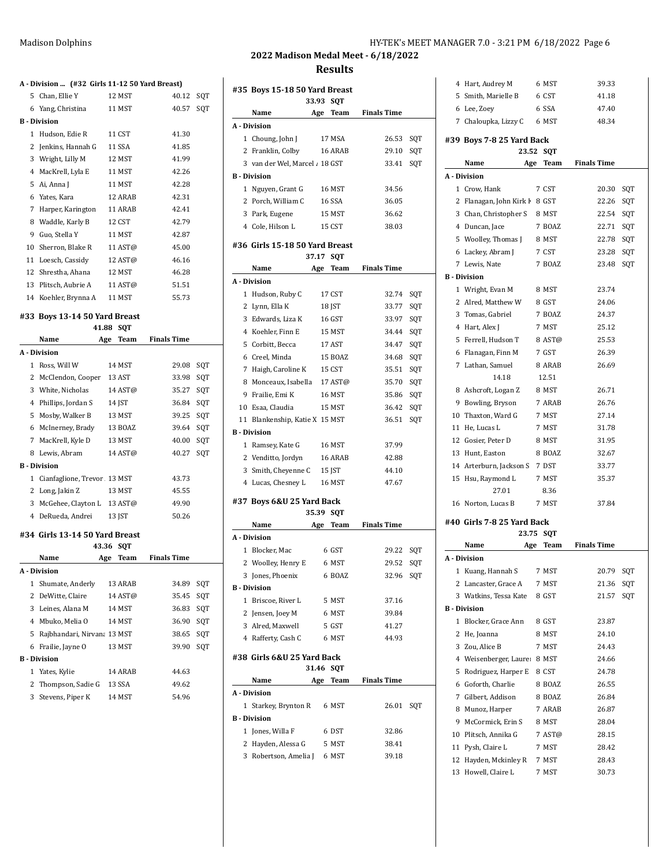### Madison Dolphins Matison Dolphins HY-TEK's MEET MANAGER 7.0 - 3:21 PM 6/18/2022 Page 6

## **2022 Madison Medal Meet - 6/18/2022 Results**

# **A - Division ... (#32 Girls 11-12 50 Yard Breast)**

|              | 5 Chan, Ellie Y      | 12 MST  | 40.12 | SQT |
|--------------|----------------------|---------|-------|-----|
|              | 6 Yang, Christina    | 11 MST  | 40.57 | SQT |
|              | <b>B</b> Division    |         |       |     |
| $\mathbf{1}$ | Hudson, Edie R       | 11 CST  | 41.30 |     |
|              | 2 Jenkins, Hannah G  | 11 SSA  | 41.85 |     |
|              | 3 Wright, Lilly M    | 12 MST  | 41.99 |     |
| 4            | MacKrell, Lyla E     | 11 MST  | 42.26 |     |
|              | 5 Ai, Anna J         | 11 MST  | 42.28 |     |
|              | 6 Yates, Kara        | 12 ARAB | 42.31 |     |
| 7            | Harper, Karington    | 11 ARAB | 42.41 |     |
| 8            | Waddle, Karly B      | 12 CST  | 42.79 |     |
| 9            | Guo, Stella Y        | 11 MST  | 42.87 |     |
| 10           | Sherron, Blake R     | 11 AST@ | 45.00 |     |
| 11           | Loesch, Cassidy      | 12 AST@ | 46.16 |     |
|              | 12 Shrestha, Ahana   | 12 MST  | 46.28 |     |
|              | 13 Plitsch, Aubrie A | 11 AST@ | 51.51 |     |
|              | 14 Koehler, Brynna A | 11 MST  | 55.73 |     |

### **#33 Boys 13-14 50 Yard Breast**

| <b>SOT</b><br>41.88 |                                |       |            |                    |     |
|---------------------|--------------------------------|-------|------------|--------------------|-----|
|                     | Name                           | Age   | Team       | <b>Finals Time</b> |     |
|                     | A - Division                   |       |            |                    |     |
| 1                   | Ross, Will W                   |       | 14 MST     | 29.08              | SOT |
| 2                   | McClendon, Cooper              |       | 13 AST     | 33.98              | SQT |
| 3                   | White, Nicholas                |       | 14 AST@    | 35.27              | SQT |
| 4                   | Phillips, Jordan S             |       | 14 JST     | 36.84              | SQT |
| 5                   | Mosby, Walker B                |       | 13 MST     | 39.25              | SQT |
| 6                   | McInerney, Brady               |       | 13 BOAZ    | 39.64              | SQT |
| 7                   | MacKrell, Kyle D               |       | 13 MST     | 40.00              | SQT |
| 8                   | Lewis, Abram                   |       | 14 AST@    | 40.27              | SQT |
|                     | <b>B</b> - Division            |       |            |                    |     |
| 1                   | Cianfaglione, Trevor 13 MST    |       |            | 43.73              |     |
| 2                   | Long, Jakin Z                  |       | 13 MST     | 45.55              |     |
| 3                   | McGehee, Clayton L 13 AST@     |       |            | 49.90              |     |
| 4                   | DeRueda, Andrei                |       | 13 JST     | 50.26              |     |
|                     | #34 Girls 13-14 50 Yard Breast | 43.36 | <b>SOT</b> |                    |     |
|                     | Name                           | Age   | Team       | <b>Finals Time</b> |     |

|    | A - Division                |                   |       |     |
|----|-----------------------------|-------------------|-------|-----|
| 1  | Shumate, Anderly            | 13 ARAB           | 34.89 | SOT |
|    | 2 DeWitte, Claire           | $14$ AST $\omega$ | 35.45 | SOT |
|    | 3 Leines, Alana M           | <b>14 MST</b>     | 36.83 | SOT |
|    | 4 Mbuko, Melia O            | 14 MST            | 36.90 | SOT |
| 5. | Rajbhandari, Nirvana 13 MST |                   | 38.65 | SOT |
|    | 6 Frailie, Jayne O          | <b>13 MST</b>     | 39.90 | SOT |
|    | B - Division                |                   |       |     |
|    | 1 Yates, Kylie              | 14 ARAB           | 44.63 |     |
|    | 2 Thompson, Sadie G         | 13 SSA            | 49.62 |     |
|    | 3 Stevens, Piper K          | 14 MST            | 54 96 |     |
|    |                             |                   |       |     |

|   | #35 Boys 15-18 50 Yard Breast  |        |            |                    |     |
|---|--------------------------------|--------|------------|--------------------|-----|
|   |                                | 33.93  | <b>SQT</b> |                    |     |
|   | Name                           | Age    | Team       | <b>Finals Time</b> |     |
|   | A - Division                   |        |            |                    |     |
|   | 1 Choung, John J               |        | 17 MSA     | 26.53              | SQT |
|   | 2 Franklin, Colby              |        | 16 ARAB    | 29.10              | SQT |
|   | 3 van der Wel, Marcel / 18 GST |        |            | 33.41              | SQT |
|   | <b>B</b> - Division            |        |            |                    |     |
|   | 1 Nguyen, Grant G              |        | 16 MST     | 34.56              |     |
|   | 2 Porch, William C             |        | 16 SSA     | 36.05              |     |
|   | 3 Park, Eugene                 |        | 15 MST     | 36.62              |     |
|   | 4 Cole, Hilson L               |        | 15 CST     | 38.03              |     |
|   | #36 Girls 15-18 50 Yard Breast |        |            |                    |     |
|   |                                | 37.17  | <b>SQT</b> |                    |     |
|   | Name                           |        | Age Team   | <b>Finals Time</b> |     |
|   | A - Division                   |        |            |                    |     |
|   | 1 Hudson, Ruby C               |        | 17 CST     | 32.74              | SQT |
|   | 2 Lynn, Ella K                 |        | 18 JST     | 33.77              | SQT |
|   | 3 Edwards, Liza K              |        | 16 GST     | 33.97              | SQT |
|   | 4 Koehler, Finn E              |        | 15 MST     | 34.44              | SQT |
|   | 5 Corbitt, Becca               |        | 17 AST     | 34.47              | SQT |
|   | 6 Creel, Minda                 |        | 15 BOAZ    | 34.68              | SQT |
|   | 7 Haigh, Caroline K            | 15 CST |            | 35.51              | SQT |
|   | 8 Monceaux, Isabella 17 AST@   |        |            | 35.70              | SQT |
|   | 9 Frailie, Emi K               |        | 16 MST     | 35.86              | SQT |
|   | 10 Esaa, Claudia               |        | 15 MST     | 36.42              | SQT |
|   | 11 Blankenship, Katie X 15 MST |        |            | 36.51              | SQT |
|   | <b>B</b> - Division            |        |            |                    |     |
|   | 1 Ramsey, Kate G               |        | 16 MST     | 37.99              |     |
|   | 2 Venditto, Jordyn             |        | 16 ARAB    | 42.88              |     |
|   | 3 Smith, Cheyenne C 15 JST     |        |            | 44.10              |     |
|   | 4 Lucas, Chesney L             |        | 16 MST     | 47.67              |     |
|   | #37 Boys 6&U 25 Yard Back      |        |            |                    |     |
|   |                                | 35.39  | SQT        |                    |     |
|   | Name                           |        | Age Team   | <b>Finals Time</b> |     |
|   | A - Division                   |        |            |                    |     |
|   | 1 Blocker, Mac                 |        | 6 GST      | 29.22              | SQT |
|   | 2 Woolley, Henry E 6 MST       |        |            | 29.52              | SQT |
|   | 3 Jones, Phoenix               |        | 6 BOAZ     | 32.96              | SQT |
|   | <b>B</b> - Division            |        |            |                    |     |
|   | 1 Briscoe, River L             |        | 5 MST      | 37.16              |     |
|   | 2 Jensen, Joey M               |        | 6 MST      | 39.84              |     |
|   | 3 Alred, Maxwell               |        | 5 GST      | 41.27              |     |
|   | 4 Rafferty, Cash C             |        | 6 MST      | 44.93              |     |
|   | #38 Girls 6&U 25 Yard Back     | 31.46  | SQT        |                    |     |
|   | Name                           |        | Age Team   | <b>Finals Time</b> |     |
|   | A - Division                   |        |            |                    |     |
|   | 1 Starkey, Brynton R           |        | 6 MST      | 26.01              | SQT |
|   | <b>B</b> - Division            |        |            |                    |     |
|   | 1 Jones, Willa F               |        | 6 DST      | 32.86              |     |
| 2 | Hayden, Alessa G               |        | 5 MST      | 38.41              |     |
|   | 3 Robertson, Amelia J          |        | 6 MST      | 39.18              |     |

|    | 4 Hart, Audrey M                            | 6 MST       | 39.33              |     |
|----|---------------------------------------------|-------------|--------------------|-----|
|    | 5 Smith, Marielle B                         | 6 CST       | 41.18              |     |
|    | 6 Lee, Zoev                                 | 6 SSA       | 47.40              |     |
|    | 7 Chaloupka, Lizzy C                        | 6 MST       | 48.34              |     |
|    | #39 Boys 7-8 25 Yard Back                   |             |                    |     |
|    | 23.52                                       | <b>SQT</b>  |                    |     |
|    | Name<br>Age                                 | <b>Team</b> | <b>Finals Time</b> |     |
|    | A - Division                                |             |                    |     |
|    | 1 Crow, Hank                                | 7 CST       | 20.30              | SQT |
|    | 2 Flanagan, John Kirk I 8 GST               |             | 22.26              | SQT |
|    | 3 Chan, Christopher S                       | 8 MST       | 22.54              | SQT |
|    | 4 Duncan, Jace                              | 7 BOAZ      | 22.71              | SQT |
|    | 5 Woolley, Thomas J                         | 8 MST       | 22.78              | SQT |
|    | 6 Lackey, Abram J                           | 7 CST       | 23.28              | SQT |
|    | 7 Lewis, Nate                               | 7 BOAZ      | 23.48              | SQT |
|    | <b>B</b> - Division                         |             |                    |     |
|    | 1 Wright, Evan M                            | 8 MST       | 23.74              |     |
|    | 2 Alred, Matthew W                          | 8 GST       | 24.06              |     |
|    | 3 Tomas, Gabriel                            | 7 BOAZ      | 24.37              |     |
|    | 4 Hart, Alex J                              | 7 MST       | 25.12              |     |
|    | 5 Ferrell, Hudson T                         | 8 AST@      | 25.53              |     |
|    | 6 Flanagan, Finn M                          | 7 GST       | 26.39              |     |
|    | 7 Lathan. Samuel                            | 8 ARAB      | 26.69              |     |
|    | 14.18                                       | 12.51       |                    |     |
|    | 8 Ashcroft, Logan Z                         | 8 MST       | 26.71              |     |
|    | 9 Bowling, Bryson                           | 7 ARAB      | 26.76              |     |
|    | 10 Thaxton, Ward G                          | 7 MST       | 27.14              |     |
|    | 11 He, Lucas L                              | 7 MST       | 31.78              |     |
|    | 12 Gosier, Peter D                          | 8 MST       | 31.95              |     |
|    | 13 Hunt, Easton                             | 8 BOAZ      | 32.67              |     |
|    | 14 Arterburn, Jackson S                     | 7 DST       | 33.77              |     |
|    | 15 Hsu, Raymond L                           | 7 MST       | 35.37              |     |
|    | 27.01                                       | 8.36        |                    |     |
|    | 16 Norton, Lucas B                          | 7 MST       | 37.84              |     |
|    |                                             |             |                    |     |
|    | #40 Girls 7-8 25 Yard Back<br>23.75         | <b>SQT</b>  |                    |     |
|    | Name<br>Age                                 | Team        | <b>Finals Time</b> |     |
|    | A - Division                                |             |                    |     |
| 1  | Kuang, Hannah S                             | 7 MST       | 20.79              | SQT |
|    | 2 Lancaster, Grace A                        | 7 MST       | 21.36              | SQT |
| 3  | Watkins, Tessa Kate                         | 8 GST       | 21.57              | SQT |
|    | <b>B</b> - Division                         |             |                    |     |
| 1  | Blocker, Grace Ann                          | 8 GST       | 23.87              |     |
|    | 2 He, Joanna                                | 8 MST       | 24.10              |     |
|    | 3 Zou, Alice B                              | 7 MST       | 24.43              |     |
|    | 4 Weisenberger, Laure: 8 MST                |             | 24.66              |     |
|    |                                             | 8 CST       | 24.78              |     |
|    | 5 Rodriguez, Harper E<br>6 Goforth, Charlie | 8 BOAZ      | 26.55              |     |
|    |                                             |             |                    |     |
|    | 7 Gilbert, Addison                          | 8 BOAZ      | 26.84              |     |
| 8  | Munoz, Harper                               | 7 ARAB      | 26.87              |     |
| 9  | McCormick, Erin S                           | 8 MST       | 28.04              |     |
| 10 | Plitsch, Annika G                           | 7 AST@      | 28.15              |     |
| 11 | Pysh, Claire L                              | 7 MST       | 28.42              |     |
| 12 | Hayden, Mckinley R                          | 7 MST       | 28.43              |     |
| 13 | Howell, Claire L                            | 7 MST       | 30.73              |     |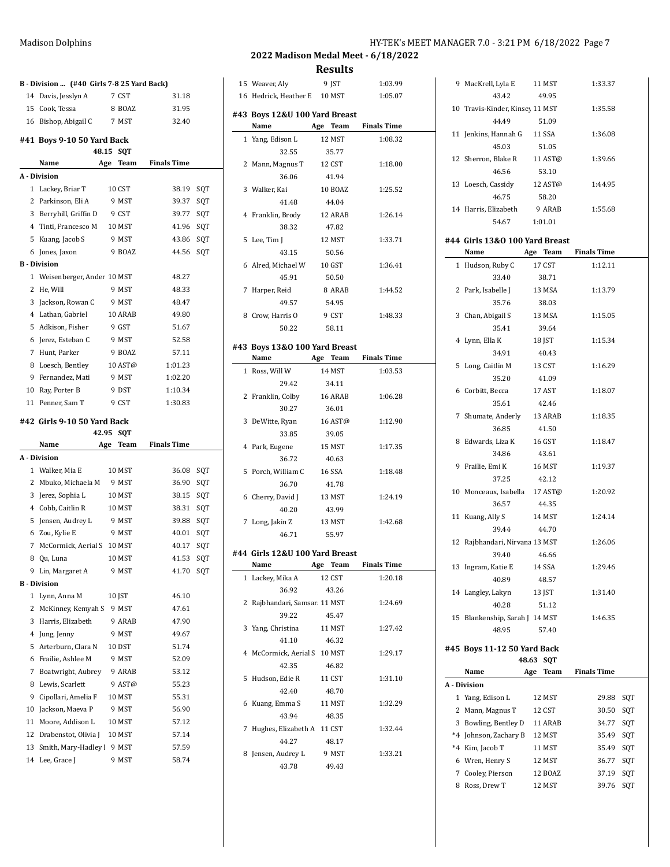|          | B - Division  (#40 Girls 7 8 25 Yard Back) |                     |                    |     |
|----------|--------------------------------------------|---------------------|--------------------|-----|
| 14       | Davis, Jesslyn A                           | 7 CST               | 31.18              |     |
| 15       | Cook, Tessa                                | 8 BOAZ              | 31.95              |     |
|          | 16 Bishop, Abigail C                       | 7 MST               | 32.40              |     |
|          | #41 Boys 9-10 50 Yard Back                 | 48.15<br><b>SOT</b> |                    |     |
|          | Name                                       | Team<br>Age         | <b>Finals Time</b> |     |
|          | A Division                                 |                     |                    |     |
|          | 1 Lackey, Briar T                          | 10 CST              | 38.19              | SQT |
|          | 2 Parkinson, Eli A                         | 9 MST               | 39.37              | SQT |
|          | 3 Berryhill, Griffin D                     | 9 CST               | 39.77              | SQT |
|          | 4 Tinti, Francesco M                       | 10 MST              | 41.96              | SQT |
| 5        | Kuang, Jacob S                             | 9 MST               | 43.86              | SQT |
| 6        | Jones, Jaxon                               | 9 BOAZ              | 44.56              | SQT |
|          | <b>B</b> - Division                        |                     |                    |     |
|          | 1 Weisenberger, Ander 10 MST               |                     | 48.27              |     |
| 2        | He, Will                                   | 9 MST               | 48.33              |     |
| 3        | Jackson, Rowan C                           | 9 MST               | 48.47              |     |
|          | 4 Lathan, Gabriel                          | 10 ARAB             | 49.80              |     |
| 5        | Adkison, Fisher                            | 9 GST               | 51.67              |     |
| 6        | Jerez, Esteban C                           | 9 MST               | 52.58              |     |
|          | 7 Hunt, Parker                             | 9 BOAZ              | 57.11              |     |
| 8        | Loesch, Bentley                            | 10 AST@             | 1:01.23            |     |
| 9        | Fernandez, Mati                            | 9 MST               | 1:02.20            |     |
|          | 10 Ray, Porter B                           | 9 DST               | 1:10.34            |     |
|          | 11 Penner, Sam T                           | 9 CST               | 1:30.83            |     |
|          |                                            |                     |                    |     |
|          | #42 Girls 9-10 50 Yard Back                |                     |                    |     |
|          |                                            |                     |                    |     |
|          | Name                                       | 42.95 SQT           |                    |     |
|          |                                            | Team<br>Age         | <b>Finals Time</b> |     |
|          | A - Division                               |                     |                    |     |
|          | 1 Walker, Mia E                            | 10 MST              | 36.08              | SQT |
| 2        | Mbuko, Michaela M                          | 9 MST               | 36.90              | SQT |
| 3        | Jerez, Sophia L                            | 10 MST              | 38.15              | SQT |
|          | 4 Cobb, Caitlin R                          | 10 MST              | 38.31              | SQT |
| 5        | Jensen, Audrey L                           | 9 MST               | 39.88              | SQT |
| 6        | Zou, Kylie E                               | 9 MST               | 40.01              | SQT |
| 7        | McCormick, Aerial S 10 MST                 |                     | 40.17              | SQT |
| 8        | Qu, Luna                                   | 10 MST              | 41.53              | SQT |
| 9        | Lin, Margaret A                            | 9 MST               | 41.70              | SQT |
|          | <b>B</b> Division                          |                     |                    |     |
| 1        | Lynn, Anna M                               | 10 JST              | 46.10              |     |
| 2        | McKinney, Kemyah S                         | 9 MST               | 47.61              |     |
| 3        | Harris, Elizabeth                          | 9 ARAB              | 47.90              |     |
| 4        | Jung, Jenny                                | 9 MST               | 49.67              |     |
| 5        | Arterburn, Clara N                         | 10 DST              | 51.74              |     |
| 6        | Frailie, Ashlee M                          | 9 MST               | 52.09              |     |
| 7        | Boatwright, Aubrey                         | 9 ARAB              | 53.12              |     |
| 8        | Lewis, Scarlett                            | 9 AST@              | 55.23              |     |
| 9        | Cipollari, Amelia F                        | 10 MST              | 55.31              |     |
| 10       | Jackson, Maeva P                           | 9 MST               | 56.90              |     |
| 11       | Moore, Addison L                           | 10 MST              | 57.12              |     |
| 12       | Drabenstot, Olivia J                       | 10 MST              | 57.14              |     |
| 13<br>14 | Smith, Mary-Hadley l<br>Lee, Grace J       | 9 MST<br>9 MST      | 57.59<br>58.74     |     |

|   | 15 Weaver, Aly                 | 9 JST    | 1:03.99            |
|---|--------------------------------|----------|--------------------|
|   | 16 Hedrick, Heather E 10 MST   |          | 1:05.07            |
|   |                                |          |                    |
|   | #43 Boys 12&U 100 Yard Breast  |          |                    |
|   | Name                           | Age Team | <b>Finals Time</b> |
|   | 1 Yang, Edison L               | 12 MST   | 1:08.32            |
|   | 32.55                          | 35.77    |                    |
| 2 | Mann, Magnus T                 | 12 CST   | 1:18.00            |
|   | 36.06                          | 41.94    |                    |
|   | 3 Walker, Kai                  | 10 BOAZ  | 1:25.52            |
|   | 41.48                          | 44.04    |                    |
| 4 | Franklin, Brody                | 12 ARAB  | 1:26.14            |
|   | 38.32                          | 47.82    |                    |
| 5 | Lee, Tim J                     | 12 MST   | 1:33.71            |
|   | 43.15                          | 50.56    |                    |
|   | 6 Alred, Michael W             | 10 GST   | 1:36.41            |
|   | 45.91                          | 50.50    |                    |
| 7 | Harper, Reid                   | 8 ARAB   | 1:44.52            |
|   | 49.57                          | 54.95    |                    |
|   | 8 Crow, Harris O               | 9 CST    | 1:48.33            |
|   | 50.22                          | 58.11    |                    |
|   | #43 Boys 13&0 100 Yard Breast  |          |                    |
|   | Name                           | Age Team | <b>Finals Time</b> |
|   | 1 Ross, Will W                 | 14 MST   | 1:03.53            |
|   | 29.42                          | 34.11    |                    |
| 2 | Franklin, Colby                | 16 ARAB  | 1:06.28            |
|   | 30.27                          | 36.01    |                    |
| 3 | DeWitte, Ryan                  | 16 AST@  | 1:12.90            |
|   | 33.85                          | 39.05    |                    |
|   | 4 Park, Eugene                 | 15 MST   | 1:17.35            |
|   | 36.72                          | 40.63    |                    |
| 5 | Porch, William C 16 SSA        |          | 1:18.48            |
|   | 36.70                          | 41.78    |                    |
| 6 | Cherry, David J                | 13 MST   | 1:24.19            |
|   | 40.20                          | 43.99    |                    |
| 7 | Long, Jakin Z                  | 13 MST   | 1:42.68            |
|   | 46.71                          | 55.97    |                    |
|   |                                |          |                    |
|   | #44 Girls 12&U 100 Yard Breast |          |                    |
|   | Name                           | Age Team | <b>Finals Time</b> |
| 1 | Lackey, Mika A                 | 12 CST   | 1:20.18            |
|   | 36.92                          | 43.26    |                    |
| 2 | Rajbhandari, Samsar 11 MST     |          | 1:24.69            |
|   | 39.22                          | 45.47    |                    |
| 3 | Yang, Christina                | 11 MST   | 1:27.42            |
|   | 41.10                          | 46.32    |                    |
| 4 | McCormick, Aerial S 10 MST     |          | 1:29.17            |
|   | 42.35                          | 46.82    |                    |
| 5 | Hudson, Edie R                 | 11 CST   | 1:31.10            |
|   | 42.40                          | 48.70    |                    |
| 6 | Kuang, Emma S 11 MST           |          | 1:32.29            |
|   | 43.94                          | 48.35    |                    |
| 7 | Hughes, Elizabeth A 11 CST     |          | 1:32.44            |
|   | 44.27                          | 48.17    |                    |
| 8 | Jensen, Audrey L               | 9 MST    | 1:33.21            |
|   | 43.78                          | 49.43    |                    |
|   |                                |          |                    |
|   |                                |          |                    |

|   | 9 MacKrell, Lyla E 11 MST            |                 | 1:33.37            |     |
|---|--------------------------------------|-----------------|--------------------|-----|
|   | 43.42                                | 49.95           |                    |     |
|   | 10 Travis-Kinder, Kinsey 11 MST      |                 | 1:35.58            |     |
|   | 44.49                                | 51.09           |                    |     |
|   | 11 Jenkins, Hannah G 11 SSA          |                 | 1:36.08            |     |
|   | 45.03                                | 51.05           |                    |     |
|   | 12 Sherron, Blake R 11 AST@          |                 | 1:39.66            |     |
|   | 46.56                                | 53.10           |                    |     |
|   | 13 Loesch, Cassidy                   | 12 AST@         | 1:44.95            |     |
|   | 46.75<br>14 Harris, Elizabeth 9 ARAB | 58.20           |                    |     |
|   | 54.67 1:01.01                        |                 | 1:55.68            |     |
|   |                                      |                 |                    |     |
|   | #44  Girls 13&0 100 Yard Breast      |                 |                    |     |
|   | Name                                 | Age Team        | <b>Finals Time</b> |     |
|   | 1 Hudson, Ruby C                     | 17 CST          | 1:12.11            |     |
|   | 33.40                                | 38.71           |                    |     |
|   | 2 Park, Isabelle J                   | 13 MSA          | 1:13.79            |     |
|   | 35.76                                | 38.03           |                    |     |
|   | 3 Chan, Abigail S                    | 13 MSA          | 1:15.05            |     |
|   | 35.41                                | 39.64           |                    |     |
|   | 4 Lynn, Ella K                       | 18 JST          | 1:15.34            |     |
|   | 34.91                                | 40.43           |                    |     |
|   | 5 Long, Caitlin M 13 CST             |                 | 1:16.29            |     |
|   | 35.20                                | 41.09           |                    |     |
|   | 6 Corbitt, Becca 17 AST              |                 | 1:18.07            |     |
| 7 | 35.61                                | 42.46           |                    |     |
|   | Shumate, Anderly 13 ARAB             |                 | 1:18.35            |     |
|   | 36.85                                | 41.50           | 1:18.47            |     |
|   | 8 Edwards, Liza K 16 GST<br>34.86    |                 |                    |     |
|   |                                      | 43.61<br>16 MST | 1:19.37            |     |
|   | 9 Frailie, Emi K<br>37.25            | 42.12           |                    |     |
|   | 10 Monceaux, Isabella 17 AST@        |                 | 1:20.92            |     |
|   | 36.57                                | 44.35           |                    |     |
|   | 11 Kuang, Ally S                     | 14 MST          | 1:24.14            |     |
|   | 39.44                                | 44.70           |                    |     |
|   | 12 Rajbhandari, Nirvana 13 MST       |                 | 1:26.06            |     |
|   | 39.40                                | 46.66           |                    |     |
|   | 13 Ingram, Katie E                   | 14 SSA          | 1:29.46            |     |
|   | 40.89                                | 48.57           |                    |     |
|   | 14 Langley, Lakyn                    | 13 JST          | 1:31.40            |     |
|   | 40.28                                | 51.12           |                    |     |
|   | 15 Blankenship, Sarah J 14 MST       |                 | 1:46.35            |     |
|   | 48.95                                | 57.40           |                    |     |
|   |                                      |                 |                    |     |
|   | #45 Boys 11-12 50 Yard Back          | 48.63 SQT       |                    |     |
|   | Name<br>Age                          | Team            | <b>Finals Time</b> |     |
|   | A - Division                         |                 |                    |     |
|   | 1 Yang, Edison L                     | 12 MST          | 29.88              | SQT |
|   | 2 Mann, Magnus T                     | 12 CST          | 30.50              | SQT |
|   | 3 Bowling, Bentley D                 | 11 ARAB         | 34.77              | SQT |
|   | *4 Johnson, Zachary B                | 12 MST          | 35.49              | SQT |
|   | *4 Kim, Jacob T                      | 11 MST          | 35.49              | SQT |
|   | 6 Wren, Henry S                      | 12 MST          | 36.77              | SQT |
|   |                                      |                 |                    |     |
|   |                                      | 12 BOAZ         | 37.19              | SQT |
|   | 7 Cooley, Pierson<br>8 Ross, Drew T  | 12 MST          | 39.76              | SQT |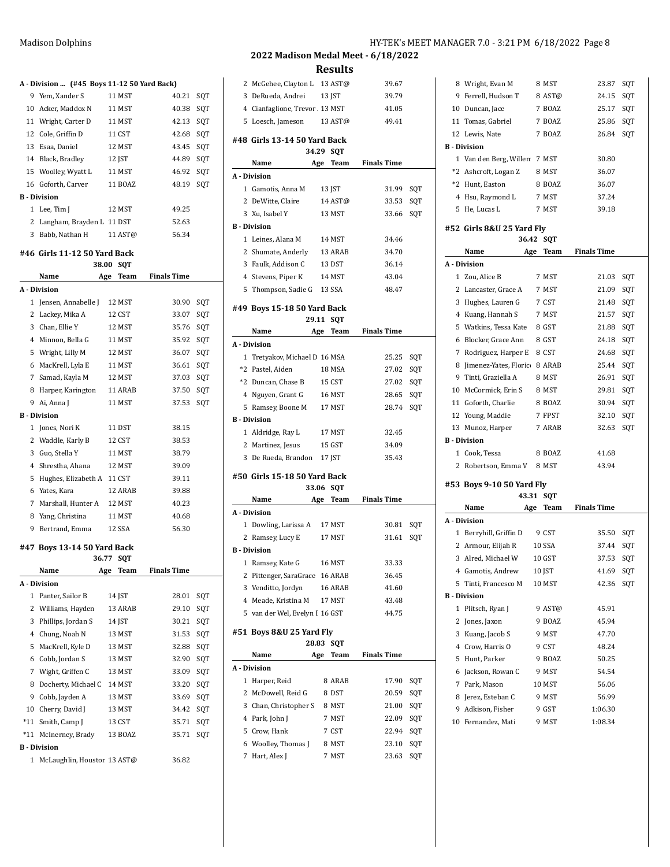|   | A Division  (#45 Boys 11 12 50 Yard Back) |            |                    |     |
|---|-------------------------------------------|------------|--------------------|-----|
|   | 9 Yem, Xander S                           | 11 MST     | 40.21              | SQT |
|   | 10 Acker, Maddox N                        | 11 MST     | 40.38              | SQT |
|   | 11 Wright, Carter D                       | 11 MST     | 42.13              | SQT |
|   | 12 Cole, Griffin D                        | 11 CST     | 42.68              | SQT |
|   | 13 Esaa, Daniel                           | 12 MST     | 43.45              | SQT |
|   | 14 Black, Bradley                         | 12 JST     | 44.89              | SQT |
|   | 15 Woolley, Wyatt L                       | 11 MST     | 46.92              | SQT |
|   | 16 Goforth, Carver                        | 11 BOAZ    | 48.19              | SQT |
|   | <b>B</b> Division                         |            |                    |     |
|   | 1 Lee, Tim J                              | 12 MST     | 49.25              |     |
|   | 2 Langham, Brayden L 11 DST               |            | 52.63              |     |
| 3 | Babb, Nathan H                            | 11 AST@    | 56.34              |     |
|   | #46 Girls 11-12 50 Yard Back              |            |                    |     |
|   | 38.00                                     | <b>SOT</b> |                    |     |
|   | Name<br>Age                               | Team       | <b>Finals Time</b> |     |
|   | A Division                                |            |                    |     |
|   | 1 Jensen, Annabelle J                     | 12 MST     | 30.90              | SQT |
|   | 2 Lackey, Mika A                          | 12 CST     | 33.07              | SQT |
|   | 3 Chan, Ellie Y                           | 12 MST     | 35.76              | SQT |
|   | 4 Minnon, Bella G                         | 11 MST     | 35.92              | SQT |
|   | 5 Wright, Lilly M                         | 12 MST     | 36.07              | SQT |
| 6 | MacKrell, Lyla E                          | 11 MST     | 36.61              | SQT |
| 7 | Samad, Kayla M                            | 12 MST     | 37.03              | SQT |
| 8 | Harper, Karington                         | 11 ARAB    | 37.50              | SQT |
| 9 | Ai, Anna J                                | 11 MST     | 37.53              | SQT |
|   | <b>B</b> - Division                       |            |                    |     |
|   | 1 Jones, Nori K                           | 11 DST     | 38.15              |     |
|   | 2 Waddle, Karly B                         | 12 CST     | 38.53              |     |
| 3 | Guo, Stella Y                             | 11 MST     | 38.79              |     |
|   | 4 Shrestha, Ahana                         | 12 MST     | 39.09              |     |
| 5 | Hughes, Elizabeth A 11 CST                |            | 39.11              |     |
| 6 | Yates, Kara                               | 12 ARAB    | 39.88              |     |

### **#47 Boys 13-14 50 Yard Back**

|    | 36.77                       |     | <b>SOT</b> |                    |     |
|----|-----------------------------|-----|------------|--------------------|-----|
|    | Name                        | Age | Team       | <b>Finals Time</b> |     |
|    | A - Division                |     |            |                    |     |
| 1  | Panter, Sailor B            |     | 14 JST     | 28.01              | SQT |
| 2  | Williams, Hayden            |     | 13 ARAB    | 29.10              | SQT |
| 3  | Phillips, Jordan S          |     | 14 JST     | 30.21              | SQT |
| 4  | Chung, Noah N               |     | 13 MST     | 31.53              | SQT |
| 5  | MacKrell, Kyle D            |     | 13 MST     | 32.88              | SQT |
| 6  | Cobb, Jordan S              |     | 13 MST     | 32.90              | SOT |
| 7  | Wight, Griffen C            |     | 13 MST     | 33.09              | SOT |
| 8  | Docherty, Michael C         |     | 14 MST     | 33.20              | SQT |
| 9  | Cobb, Jayden A              |     | 13 MST     | 33.69              | SQT |
| 10 | Cherry, David J             |     | 13 MST     | 34.42              | SOT |
|    | *11 Smith, Camp J           |     | 13 CST     | 35.71              | SQT |
|    | *11 McInerney, Brady        |     | 13 BOAZ    | 35.71              | SOT |
|    | <b>B</b> - Division         |     |            |                    |     |
| 1  | McLaughlin, Houstor 13 AST@ |     |            | 36.82              |     |

7 Marshall, Hunter A 12 MST 40.23 Yang, Christina 11 MST 40.68 9 Bertrand, Emma 12 SSA 56.30

## **2022 Madison Medal Meet - 6/18/2022 Results** McGehee, Clayton L 13 AST@ 39.67 DeRueda, Andrei 13 JST 39.79 4 Cianfaglione, Trevor A 13 MST 41.05

|   | 5 Loesch, Jameson              |       | 13 AST@    | 49.41              |     |
|---|--------------------------------|-------|------------|--------------------|-----|
|   | #48 Girls 13-14 50 Yard Back   |       |            |                    |     |
|   |                                | 34.29 | <b>SQT</b> |                    |     |
|   | Name                           |       | Age Team   | <b>Finals Time</b> |     |
|   | A - Division                   |       |            |                    |     |
|   | 1 Gamotis, Anna M              |       | 13 JST     | 31.99              | SQT |
|   | 2 DeWitte, Claire              |       | 14 AST@    | 33.53              | SQT |
|   | 3 Xu, Isabel Y                 |       | 13 MST     | 33.66              | SQT |
|   | <b>B</b> - Division            |       |            |                    |     |
|   | 1 Leines, Alana M              |       | 14 MST     | 34.46              |     |
|   | 2 Shumate, Anderly             |       | 13 ARAB    | 34.70              |     |
|   | 3 Faulk, Addison C             |       | 13 DST     | 36.14              |     |
|   | 4 Stevens, Piper K             |       | 14 MST     | 43.04              |     |
|   | 5 Thompson, Sadie G 13 SSA     |       |            | 48.47              |     |
|   | #49 Boys 15-18 50 Yard Back    |       |            |                    |     |
|   |                                | 29.11 | SQT        |                    |     |
|   | Name                           | Age   | Team       | <b>Finals Time</b> |     |
|   | A - Division                   |       |            |                    |     |
|   | 1 Tretyakov, Michael D 16 MSA  |       |            | 25.25              | SQT |
|   | *2 Pastel, Aiden               |       | 18 MSA     | 27.02              | SQT |
|   | *2 Duncan, Chase B             |       | 15 CST     | 27.02              | SQT |
|   | 4 Nguyen, Grant G              |       | 16 MST     | 28.65              | SQT |
|   | 5 Ramsey, Boone M              |       | 17 MST     | 28.74              | SOT |
|   | <b>B</b> - Division            |       |            |                    |     |
|   | 1 Aldridge, Ray L              |       | 17 MST     | 32.45              |     |
|   | 2 Martinez, Jesus              |       | 15 GST     | 34.09              |     |
|   | 3 De Rueda, Brandon            |       | 17 JST     | 35.43              |     |
|   | #50 Girls 15-18 50 Yard Back   |       |            |                    |     |
|   |                                | 33.06 | <b>SQT</b> |                    |     |
|   | Name                           |       | Age Team   | <b>Finals Time</b> |     |
|   | A - Division                   |       |            |                    |     |
|   | 1 Dowling, Larissa A           |       | 17 MST     | 30.81              | SQT |
|   | 2 Ramsey, Lucy E               |       | 17 MST     | 31.61              | SQT |
|   | <b>B</b> - Division            |       |            |                    |     |
|   | 1 Ramsey, Kate G               |       | 16 MST     | 33.33              |     |
|   | 2 Pittenger, SaraGrace 16 ARAB |       |            | 36.45              |     |
|   | 3 Venditto, Jordyn             |       | 16 ARAB    | 41.60              |     |
| 4 | Meade, Kristina M              |       | 17 MST     | 43.48              |     |
|   | 5 van der Wel, Evelyn I 16 GST |       |            | 44.75              |     |
|   | #51 Boys 8&U 25 Yard Fly       |       |            |                    |     |
|   |                                | 28.83 | SQT        |                    |     |
|   | Name                           | Age   | Team       | Finals Time        |     |
|   | A - Division                   |       |            |                    |     |
| 1 | Harper, Reid                   |       | 8 ARAB     | 17.90              | SQT |
| 2 | McDowell, Reid G               |       | 8 DST      | 20.59              | SQT |
| 3 | Chan, Christopher S            |       | 8 MST      | 21.00              | SQT |
|   | 4 Park, John J                 |       | 7 MST      | 22.09              | SQT |
| 5 | Crow, Hank                     |       | 7 CST      | 22.94              | SQT |
| 6 | Woolley, Thomas J              |       | 8 MST      | 23.10              | SQT |
| 7 | Hart, Alex J                   |       | 7 MST      | 23.63              | SQT |

## Madison Dolphins **Madison Dolphins** HY-TEK's MEET MANAGER 7.0 - 3:21 PM 6/18/2022 Page 8

| 8 Wright, Evan M               |       | 8 MST      | 23.87              | SQT |
|--------------------------------|-------|------------|--------------------|-----|
| 9 Ferrell, Hudson T            |       | 8 AST@     | 24.15              | SQT |
| 10 Duncan, Jace                |       | 7 BOAZ     | 25.17              | SQT |
|                                |       | 7 BOAZ     |                    |     |
| 11 Tomas, Gabriel              |       |            | 25.86 SQT          |     |
| 12 Lewis, Nate                 |       | 7 BOAZ     | 26.84              | SQT |
| <b>B</b> - Division            |       |            |                    |     |
| 1 Van den Berg, Willen 7 MST   |       |            | 30.80              |     |
| *2 Ashcroft, Logan Z           |       | 8 MST      | 36.07              |     |
| *2 Hunt, Easton                |       | 8 BOAZ     | 36.07              |     |
| 4 Hsu, Raymond L               |       | 7 MST      | 37.24              |     |
| 5 He, Lucas L                  |       | 7 MST      | 39.18              |     |
| #52 Girls 8&U 25 Yard Fly      | 36.42 | SQT        |                    |     |
| Name                           |       | Age Team   | <b>Finals Time</b> |     |
| A - Division                   |       |            |                    |     |
| 1 Zou, Alice B                 |       | 7 MST      | 21.03              | SQT |
| 2 Lancaster, Grace A           |       | 7 MST      | 21.09              | SQT |
| 3 Hughes, Lauren G             |       | 7 CST      | 21.48              | SQT |
| 4 Kuang, Hannah S              |       | 7 MST      | 21.57              | SQT |
| 5 Watkins, Tessa Kate          |       | 8 GST      | 21.88              | SQT |
| 6 Blocker, Grace Ann           |       | 8 GST      | 24.18              | SQT |
| 7 Rodriguez, Harper E          |       | 8 CST      | 24.68              | SQT |
| 8 Jimenez-Yates, Floric 8 ARAB |       |            | 25.44              | SQT |
| 9 Tinti, Graziella A           |       | 8 MST      | 26.91              | SQT |
| 10 McCormick, Erin S           |       | 8 MST      | 29.81              | SQT |
| 11 Goforth, Charlie            |       | 8 BOAZ     | 30.94              | SQT |
| 12 Young, Maddie               |       | 7 FPST     | 32.10              | SQT |
| 13 Munoz, Harper               |       | 7 ARAB     | 32.63              | SQT |
|                                |       |            |                    |     |
|                                |       |            |                    |     |
| <b>B</b> - Division            |       |            |                    |     |
| 1 Cook, Tessa                  |       | 8 BOAZ     | 41.68              |     |
| 2 Robertson, Emma V 8 MST      |       |            | 43.94              |     |
| #53 Boys 9-10 50 Yard Fly      |       |            |                    |     |
|                                | 43.31 | <b>SQT</b> |                    |     |
| Name                           | Age   | Team       | <b>Finals Time</b> |     |
| A Division                     |       |            |                    |     |
| 1 Berryhill, Griffin D         |       | 9 CST      | 35.50              | SQT |
| 2 Armour, Elijah R             |       | 10 SSA     | 37.44              | SQT |
| 3 Alred. Michael W             |       | 10 GST     | 37.53              | SQT |
| 4 Gamotis, Andrew              |       | 10 JST     | 41.69              | SQT |
| 5 Tinti, Francesco M           |       | 10 MST     | 42.36              | SQT |
| <b>B</b> - Division            |       |            |                    |     |
| 1 Plitsch, Ryan J              |       | 9 AST@     | 45.91              |     |
| 2 Jones, Jaxon                 |       | 9 BOAZ     | 45.94              |     |
| 3 Kuang, Jacob S               |       | 9 MST      | 47.70              |     |
| 4 Crow, Harris O               |       | 9 CST      | 48.24              |     |
| 5 Hunt, Parker                 |       | 9 BOAZ     | 50.25              |     |
| 6 Jackson, Rowan C             |       | 9 MST      | 54.54              |     |
| 7 Park, Mason                  |       | 10 MST     | 56.06              |     |
| 8 Jerez, Esteban C             |       | 9 MST      | 56.99              |     |
| 9 Adkison, Fisher              |       | 9 GST      | 1:06.30            |     |
|                                |       |            |                    |     |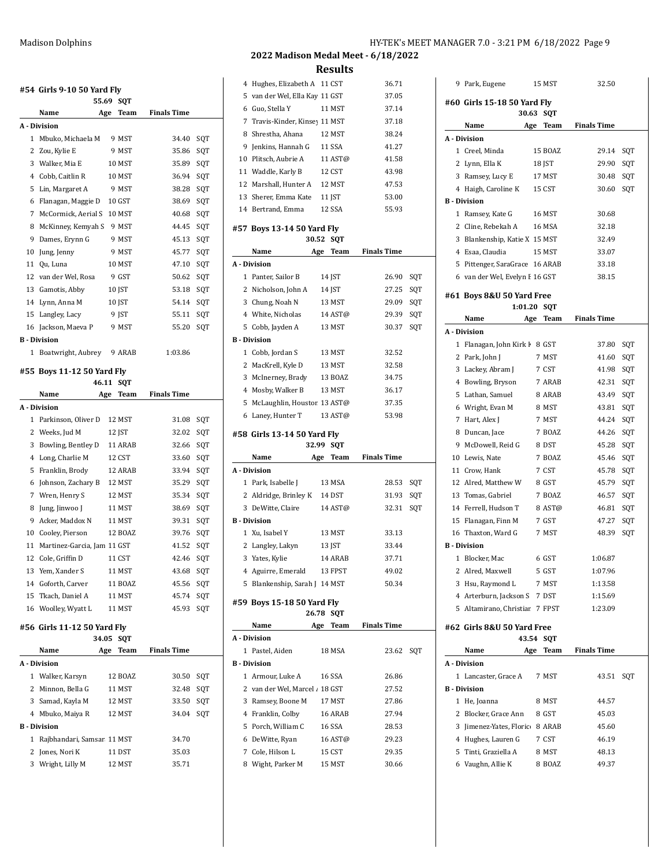|   | #54 Girls 9-10 50 Yard Fly<br>55.69  |     | SQT     |                    |     |
|---|--------------------------------------|-----|---------|--------------------|-----|
|   | Name                                 | Age | Team    | <b>Finals Time</b> |     |
|   | A Division                           |     |         |                    |     |
|   | 1 Mbuko, Michaela M                  |     | 9 MST   | 34.40              | SQT |
|   | 2 Zou, Kylie E                       |     | 9 MST   | 35.86              | SQT |
|   | 3 Walker, Mia E                      |     | 10 MST  | 35.89              | SQT |
|   | 4 Cobb, Caitlin R                    |     | 10 MST  | 36.94              | SQT |
|   | 5 Lin, Margaret A                    |     | 9 MST   | 38.28              | SQT |
|   | 6 Flanagan, Maggie D 10 GST          |     |         | 38.69              | SOT |
|   | 7 McCormick, Aerial S 10 MST         |     |         | 40.68              | SOT |
|   | 8 McKinney, Kemyah S 9 MST           |     |         | 44.45              | SQT |
|   | 9 Dames, Erynn G                     |     | 9 MST   | 45.13              | SQT |
|   | 10 Jung, Jenny                       |     | 9 MST   | 45.77              | SQT |
|   | 11 Qu, Luna                          |     | 10 MST  | 47.10              | SQT |
|   | 12 van der Wel, Rosa                 |     | 9 GST   | 50.62              | SQT |
|   | 13 Gamotis, Abby                     |     | 10 JST  | 53.18              | SQT |
|   | 14 Lynn, Anna M                      |     | 10 JST  | 54.14              | SQT |
|   | 15 Langley, Lacy                     |     | 9 JST   | 55.11              | SQT |
|   | 16 Jackson, Maeva P                  |     | 9 MST   | 55.20              | SQT |
|   | <b>B</b> Division                    |     |         |                    |     |
|   | 1 Boatwright, Aubrey 9 ARAB          |     |         | 1:03.86            |     |
|   | #55 Boys 11-12 50 Yard Fly           |     |         |                    |     |
|   | 46.11                                |     | SQT     |                    |     |
|   | Name<br>Age                          |     | Team    | <b>Finals Time</b> |     |
|   | A - Division                         |     |         |                    |     |
|   | 1 Parkinson, Oliver D                |     | 12 MST  | 31.08              | SQT |
|   | 2 Weeks, Jud M                       |     | 12 JST  | 32.02              | SQT |
|   | 3 Bowling, Bentley D                 |     | 11 ARAB | 32.66              | SQT |
|   | 4 Long, Charlie M                    |     | 12 CST  | 33.60              | SQT |
| 5 | Franklin, Brody                      |     | 12 ARAB | 33.94              | SQT |
|   | 6 Johnson, Zachary B 12 MST          |     |         | 35.29              | SQT |
|   | 7 Wren, Henry S                      |     | 12 MST  | 35.34              | SQT |
|   | 8 Jung, Jinwoo J                     |     | 11 MST  | 38.69              | SQT |
|   | 9 Acker, Maddox N                    |     | 11 MST  | 39.31              | SQT |
|   | 10 Cooley, Pierson                   |     | 12 BOAZ | 39.76              | SQT |
|   | 11 Martinez-Garcia, Jam 11 GST       |     |         | 41.52              | SQT |
|   | 12 Cole, Griffin D                   |     | 11 CST  | 42.46              | SOT |
|   | 13 Yem, Xander S                     |     | 11 MST  | 43.68              | SQT |
|   | 14 Goforth, Carver                   |     | 11 BOAZ | 45.56              | SQT |
|   | 15 Tkach. Daniel A                   |     | 11 MST  | 45.74              | SQT |
|   | 16 Woolley, Wyatt L                  |     | 11 MST  | 45.93              | SQT |
|   | #56 Girls 11-12 50 Yard Fly<br>34.05 |     | SQT     |                    |     |
|   | Name                                 | Age | Team    | <b>Finals Time</b> |     |
|   |                                      |     |         |                    |     |
|   | A - Division                         |     |         |                    |     |
|   | 1 Walker, Karsyn                     |     | 12 BOAZ | 30.50              | SQT |
|   | 2 Minnon, Bella G                    |     | 11 MST  | 32.48              | SQT |
|   | 3 Samad, Kayla M                     |     | 12 MST  | 33.50              | SQT |
|   | 4 Mbuko, Maiya R                     |     | 12 MST  | 34.04              | SQT |
|   | <b>B</b> - Division                  |     |         |                    |     |
|   | 1 Rajbhandari, Samsar 11 MST         |     |         | 34.70              |     |
|   | 2 Jones, Nori K                      |     | 11 DST  | 35.03              |     |

| 2<br>3<br>5<br>1<br>3<br>5 | 1 Xu, Isabel Y<br>Langley, Lakyn<br>Yates, Kylie<br>4 Aguirre, Emerald<br>Blankenship, Sarah J 14 MST<br>#59 Boys 15-18 50 Yard Fly<br>26.78<br>Name<br>Age<br>A - Division<br>Pastel, Aiden<br><b>B</b> - Division<br>1 Armour, Luke A<br>2 van der Wel, Marcel / 18 GST<br>Ramsey, Boone M<br>4 Franklin, Colby<br>Porch, William C<br>6 DeWitte, Ryan<br>7 Cole, Hilson L<br>8 Wight, Parker M | 13 JST | 13 MST<br>14 ARAB<br>13 FPST<br>SQT<br>Team<br>18 MSA<br>16 SSA<br>17 MST<br>16 ARAB<br>16 SSA<br>16 AST@<br>15 CST<br>15 MST | 33.13<br>33.44<br>37.71<br>49.02<br>50.34<br><b>Finals Time</b><br>23.62<br>26.86<br>27.52<br>27.86<br>27.94<br>28.53<br>29.23<br>29.35<br>30.66 | SQT |
|----------------------------|---------------------------------------------------------------------------------------------------------------------------------------------------------------------------------------------------------------------------------------------------------------------------------------------------------------------------------------------------------------------------------------------------|--------|-------------------------------------------------------------------------------------------------------------------------------|--------------------------------------------------------------------------------------------------------------------------------------------------|-----|
|                            |                                                                                                                                                                                                                                                                                                                                                                                                   |        |                                                                                                                               |                                                                                                                                                  |     |
|                            |                                                                                                                                                                                                                                                                                                                                                                                                   |        |                                                                                                                               |                                                                                                                                                  |     |
|                            |                                                                                                                                                                                                                                                                                                                                                                                                   |        |                                                                                                                               |                                                                                                                                                  |     |
|                            |                                                                                                                                                                                                                                                                                                                                                                                                   |        |                                                                                                                               |                                                                                                                                                  |     |
|                            |                                                                                                                                                                                                                                                                                                                                                                                                   |        |                                                                                                                               |                                                                                                                                                  |     |
|                            |                                                                                                                                                                                                                                                                                                                                                                                                   |        |                                                                                                                               |                                                                                                                                                  |     |
|                            |                                                                                                                                                                                                                                                                                                                                                                                                   |        |                                                                                                                               |                                                                                                                                                  |     |
|                            |                                                                                                                                                                                                                                                                                                                                                                                                   |        |                                                                                                                               |                                                                                                                                                  |     |
|                            |                                                                                                                                                                                                                                                                                                                                                                                                   |        |                                                                                                                               |                                                                                                                                                  |     |
|                            |                                                                                                                                                                                                                                                                                                                                                                                                   |        |                                                                                                                               |                                                                                                                                                  |     |
|                            |                                                                                                                                                                                                                                                                                                                                                                                                   |        |                                                                                                                               |                                                                                                                                                  |     |
|                            |                                                                                                                                                                                                                                                                                                                                                                                                   |        |                                                                                                                               |                                                                                                                                                  |     |
|                            |                                                                                                                                                                                                                                                                                                                                                                                                   |        |                                                                                                                               |                                                                                                                                                  |     |
|                            |                                                                                                                                                                                                                                                                                                                                                                                                   |        |                                                                                                                               |                                                                                                                                                  |     |
|                            |                                                                                                                                                                                                                                                                                                                                                                                                   |        |                                                                                                                               |                                                                                                                                                  |     |
|                            |                                                                                                                                                                                                                                                                                                                                                                                                   |        |                                                                                                                               |                                                                                                                                                  |     |
|                            |                                                                                                                                                                                                                                                                                                                                                                                                   |        |                                                                                                                               |                                                                                                                                                  |     |
|                            |                                                                                                                                                                                                                                                                                                                                                                                                   |        |                                                                                                                               |                                                                                                                                                  |     |
|                            |                                                                                                                                                                                                                                                                                                                                                                                                   |        |                                                                                                                               |                                                                                                                                                  |     |
|                            | <b>B</b> - Division                                                                                                                                                                                                                                                                                                                                                                               |        |                                                                                                                               |                                                                                                                                                  |     |
| 3                          | DeWitte, Claire                                                                                                                                                                                                                                                                                                                                                                                   |        | 14 AST@                                                                                                                       | 32.31                                                                                                                                            | SQT |
|                            | 2 Aldridge, Brinley K 14 DST                                                                                                                                                                                                                                                                                                                                                                      |        |                                                                                                                               | 31.93                                                                                                                                            | SQT |
|                            | 1 Park, Isabelle J                                                                                                                                                                                                                                                                                                                                                                                |        | 13 MSA                                                                                                                        | 28.53                                                                                                                                            | SQT |
|                            | A - Division                                                                                                                                                                                                                                                                                                                                                                                      |        |                                                                                                                               |                                                                                                                                                  |     |
|                            | Name<br>Age                                                                                                                                                                                                                                                                                                                                                                                       |        | Team                                                                                                                          | <b>Finals Time</b>                                                                                                                               |     |
|                            | 32.99                                                                                                                                                                                                                                                                                                                                                                                             |        | SQT                                                                                                                           |                                                                                                                                                  |     |
|                            | #58 Girls 13-14 50 Yard Fly                                                                                                                                                                                                                                                                                                                                                                       |        |                                                                                                                               |                                                                                                                                                  |     |
|                            | 6 Laney, Hunter T                                                                                                                                                                                                                                                                                                                                                                                 |        | 13 AST@                                                                                                                       | 53.98                                                                                                                                            |     |
| 5                          | McLaughlin, Houston 13 AST@                                                                                                                                                                                                                                                                                                                                                                       |        |                                                                                                                               | 37.35                                                                                                                                            |     |
|                            | 4 Mosby, Walker B                                                                                                                                                                                                                                                                                                                                                                                 |        | 13 MST                                                                                                                        | 36.17                                                                                                                                            |     |
| 3                          | McInerney, Brady                                                                                                                                                                                                                                                                                                                                                                                  |        | 13 BOAZ                                                                                                                       | 34.75                                                                                                                                            |     |
| 2                          | MacKrell, Kyle D                                                                                                                                                                                                                                                                                                                                                                                  |        | 13 MST                                                                                                                        | 32.58                                                                                                                                            |     |
|                            | 1 Cobb, Jordan S                                                                                                                                                                                                                                                                                                                                                                                  |        | 13 MST                                                                                                                        | 32.52                                                                                                                                            |     |
|                            | <b>B</b> - Division                                                                                                                                                                                                                                                                                                                                                                               |        |                                                                                                                               |                                                                                                                                                  |     |
| 5                          | Cobb, Jayden A                                                                                                                                                                                                                                                                                                                                                                                    |        | 13 MST                                                                                                                        | 30.37                                                                                                                                            | SQT |
|                            | 4 White, Nicholas                                                                                                                                                                                                                                                                                                                                                                                 |        | 14 AST@                                                                                                                       | 29.39                                                                                                                                            | SQT |
|                            | 3 Chung, Noah N                                                                                                                                                                                                                                                                                                                                                                                   |        | 13 MST                                                                                                                        | 29.09                                                                                                                                            | SQT |
|                            | 2 Nicholson, John A                                                                                                                                                                                                                                                                                                                                                                               |        | 14 JST                                                                                                                        | 27.25                                                                                                                                            | SQT |
|                            | 1 Panter, Sailor B                                                                                                                                                                                                                                                                                                                                                                                |        | 14 JST                                                                                                                        | 26.90                                                                                                                                            | SQT |
|                            | A - Division                                                                                                                                                                                                                                                                                                                                                                                      |        |                                                                                                                               |                                                                                                                                                  |     |
|                            | Name<br>Age                                                                                                                                                                                                                                                                                                                                                                                       |        | Team                                                                                                                          | <b>Finals Time</b>                                                                                                                               |     |
|                            | #57 Boys 13-14 50 Yard Fly<br>30.52                                                                                                                                                                                                                                                                                                                                                               |        | SQT                                                                                                                           |                                                                                                                                                  |     |
|                            |                                                                                                                                                                                                                                                                                                                                                                                                   |        |                                                                                                                               |                                                                                                                                                  |     |
|                            | 14 Bertrand, Emma                                                                                                                                                                                                                                                                                                                                                                                 |        | 12 SSA                                                                                                                        | 55.93                                                                                                                                            |     |
|                            | 13 Sherer, Emma Kate                                                                                                                                                                                                                                                                                                                                                                              |        | 11 JST                                                                                                                        | 53.00                                                                                                                                            |     |
| 12                         | Marshall, Hunter A                                                                                                                                                                                                                                                                                                                                                                                |        | 12 MST                                                                                                                        | 47.53                                                                                                                                            |     |
|                            | 11 Waddle, Karly B                                                                                                                                                                                                                                                                                                                                                                                |        | 12 CST                                                                                                                        | 43.98                                                                                                                                            |     |
| 10                         | Plitsch, Aubrie A                                                                                                                                                                                                                                                                                                                                                                                 |        | 11 AST@                                                                                                                       | 41.58                                                                                                                                            |     |
| 9                          | Jenkins, Hannah G                                                                                                                                                                                                                                                                                                                                                                                 |        | 11 SSA                                                                                                                        | 41.27                                                                                                                                            |     |
| 8                          | Shrestha, Ahana                                                                                                                                                                                                                                                                                                                                                                                   |        | 12 MST                                                                                                                        | 38.24                                                                                                                                            |     |
| 7                          | Travis-Kinder, Kinsey 11 MST                                                                                                                                                                                                                                                                                                                                                                      |        |                                                                                                                               | 37.18                                                                                                                                            |     |
|                            | Guo, Stella Y                                                                                                                                                                                                                                                                                                                                                                                     |        | 11 MST                                                                                                                        | 37.14                                                                                                                                            |     |
| 6                          | Hughes, Elizabeth A 11 CST<br>van der Wel, Ella Kay 11 GST                                                                                                                                                                                                                                                                                                                                        |        |                                                                                                                               | 36.71<br>37.05                                                                                                                                   |     |
| 4<br>5                     |                                                                                                                                                                                                                                                                                                                                                                                                   |        |                                                                                                                               |                                                                                                                                                  |     |

|   | 9 Park, Eugene                 |     | 15 MST         | 32.50              |     |
|---|--------------------------------|-----|----------------|--------------------|-----|
|   | #60 Girls 15-18 50 Yard Fly    |     |                |                    |     |
|   | 30.63                          |     | SQT            |                    |     |
|   | Name                           | Age | Team           | <b>Finals Time</b> |     |
|   | A Division                     |     |                |                    |     |
|   | 1 Creel, Minda                 |     | <b>15 BOAZ</b> | 29.14              | SQT |
|   | 2 Lynn, Ella K                 |     | 18 JST         | 29.90              | SQT |
|   | 3 Ramsey, Lucy E               |     | 17 MST         | 30.48              | SQT |
|   | 4 Haigh, Caroline K            |     | 15 CST         | 30.60              | SQT |
|   | <b>B</b> - Division            |     |                |                    |     |
|   | 1 Ramsey, Kate G               |     | 16 MST         | 30.68              |     |
|   | 2 Cline, Rebekah A             |     | 16 MSA         | 32.18              |     |
|   | 3 Blankenship, Katie X 15 MST  |     |                | 32.49              |     |
|   | 4 Esaa, Claudia                |     | 15 MST         | 33.07              |     |
|   | 5 Pittenger, SaraGrace 16 ARAB |     |                | 33.18              |     |
|   | 6 van der Wel, Evelyn I 16 GST |     |                | 38.15              |     |
|   | #61 Boys 8&U 50 Yard Free      |     |                |                    |     |
|   | 1:01.20                        |     | SOT            |                    |     |
|   | Name                           | Age | Team           | <b>Finals Time</b> |     |
|   | A - Division                   |     |                |                    |     |
|   | 1 Flanagan, John Kirk F        |     | 8 GST          | 37.80              | SQT |
|   | 2 Park, John J                 |     | 7 MST          | 41.60              | SQT |
|   | 3 Lackey, Abram J              |     | 7 CST          | 41.98              | SQT |
|   | 4 Bowling, Bryson              |     | 7 ARAB         | 42.31              | SQT |
|   | 5 Lathan, Samuel               |     | 8 ARAB         | 43.49              | SQT |
|   | 6 Wright, Evan M               |     | 8 MST          | 43.81              | SQT |
|   | 7 Hart, Alex J                 |     | 7 MST          | 44.24              | SQT |
|   | 8 Duncan, Jace                 |     | 7 BOAZ         | 44.26              | SQT |
|   | 9 McDowell, Reid G             |     | 8 DST          | 45.28              | SQT |
|   | 10 Lewis, Nate                 |     | 7 BOAZ         | 45.46              | SQT |
|   | 11 Crow, Hank                  |     | 7 CST          | 45.78              | SQT |
|   | 12 Alred, Matthew W            |     | 8 GST          | 45.79              | SQT |
|   | 13 Tomas, Gabriel              |     | 7 BOAZ         | 46.57              | SQT |
|   | 14 Ferrell, Hudson T           |     | 8 AST@         | 46.81              | SQT |
|   | 15 Flanagan, Finn M            |     | 7 GST          | 47.27              | SQT |
|   | 16 Thaxton, Ward G             |     | 7 MST          | 48.39              | SQT |
|   | <b>B</b> - Division            |     |                |                    |     |
| 1 | Blocker, Mac                   |     | 6 GST          | 1:06.87            |     |
|   | 2 Alred, Maxwell               |     | 5 GST          | 1:07.96            |     |
|   | 3 Hsu, Raymond L               |     | 7 MST          | 1:13.58            |     |
|   | 4 Arterburn, Jackson S 7 DST   |     |                | 1:15.69            |     |
|   | 5 Altamirano, Christiar 7 FPST |     |                | 1:23.09            |     |
|   | #62 Girls 8&U 50 Yard Free     |     |                |                    |     |
|   |                                |     | 43.54 SQT      |                    |     |
|   | Name                           | Age | Team           | <b>Finals Time</b> |     |
|   | A - Division                   |     |                |                    |     |
|   | 1 Lancaster, Grace A           |     | 7 MST          | 43.51              | SOT |
|   | <b>B</b> - Division            |     |                |                    |     |
|   | 1 He, Joanna                   |     | 8 MST          | 44.57              |     |
|   | 2 Blocker, Grace Ann           |     | 8 GST          | 45.03              |     |
|   | 3 Jimenez-Yates, Floric 8 ARAB |     |                | 45.60              |     |
|   | 4 Hughes, Lauren G             |     | 7 CST          | 46.19              |     |
|   | 5 Tinti, Graziella A           |     | 8 MST          | 48.13              |     |
|   | 6 Vaughn, Allie K              |     | 8 BOAZ         | 49.37              |     |
|   |                                |     |                |                    |     |
|   |                                |     |                |                    |     |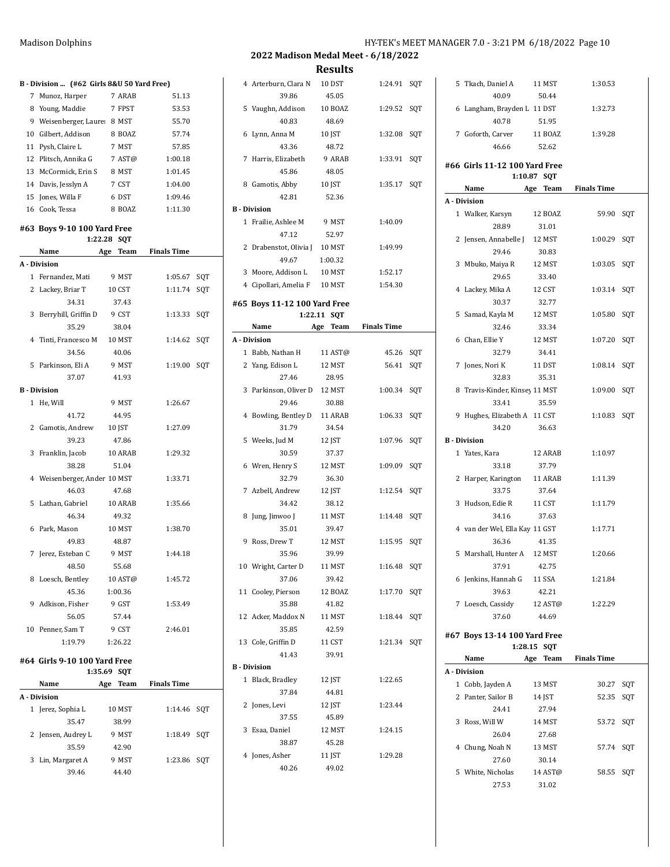| HY-TEK's MEET MANAGER 7.0 - 3:21 PM 6/18/2022 Page 10 |  |  |  |
|-------------------------------------------------------|--|--|--|
|-------------------------------------------------------|--|--|--|

**2022 Madison Medal Meet - 6/18/2022**

**Results**

|   | B - Division  (#62 Girls 8&U 50 Yard Free) |     |          |                    |     |
|---|--------------------------------------------|-----|----------|--------------------|-----|
| 7 | Munoz, Harper                              |     | 7 ARAB   | 51.13              |     |
|   | 8 Young, Maddie                            |     | 7 FPST   | 53.53              |     |
|   | 9 Weisenberger, Laure: 8 MST               |     |          | 55.70              |     |
|   | 10 Gilbert, Addison                        |     | 8 BOAZ   | 57.74              |     |
|   | 11 Pysh, Claire L                          |     | 7 MST    | 57.85              |     |
|   | 12 Plitsch, Annika G                       |     | 7 AST@   | 1:00.18            |     |
|   | 13 McCormick, Erin S                       |     | 8 MST    | 1:01.45            |     |
|   | 14 Davis, Jesslyn A                        |     | 7 CST    | 1:04.00            |     |
|   | 15 Jones, Willa F                          |     | 6 DST    | 1:09.46            |     |
|   | 16 Cook, Tessa                             |     | 8 BOAZ   | 1:11.30            |     |
|   | #63 Boys 9-10 100 Yard Free                |     |          |                    |     |
|   | 1:22.28 SQT                                |     |          |                    |     |
|   | Name                                       | Age | Team     | <b>Finals Time</b> |     |
|   | A - Division                               |     |          |                    |     |
|   | 1 Fernandez, Mati                          |     | 9 MST    | 1:05.67            | SQT |
|   | 2 Lackey, Briar T                          |     | 10 CST   | 1:11.74            | SQT |
|   | 34.31                                      |     | 37.43    |                    |     |
|   | 3 Berryhill, Griffin D                     |     | 9 CST    | 1:13.33            | SQT |
|   | 35.29                                      |     | 38.04    |                    |     |
|   | 4 Tinti, Francesco M                       |     | 10 MST   | 1:14.62            | SQT |
|   | 34.56                                      |     | 40.06    |                    |     |
|   | 5 Parkinson. Eli A                         |     | 9 MST    | 1:19.00            | SQT |
|   | 37.07                                      |     | 41.93    |                    |     |
|   | <b>B</b> Division                          |     |          |                    |     |
|   | 1 He, Will                                 |     | 9 MST    | 1:26.67            |     |
|   | 41.72                                      |     | 44.95    |                    |     |
|   | 2 Gamotis, Andrew 10 JST                   |     |          | 1:27.09            |     |
|   | 39.23                                      |     | 47.86    |                    |     |
|   | 3 Franklin, Jacob                          |     | 10 ARAB  | 1:29.32            |     |
|   | 38.28                                      |     | 51.04    |                    |     |
|   | 4 Weisenberger, Ander 10 MST               |     |          | 1:33.71            |     |
|   | 46.03                                      |     | 47.68    |                    |     |
|   | 5 Lathan, Gabriel                          |     | 10 ARAB  | 1:35.66            |     |
|   | 46.34                                      |     | 49.32    |                    |     |
|   | 6 Park, Mason                              |     | 10 MST   | 1:38.70            |     |
|   | 49.83                                      |     | 48.87    |                    |     |
|   | 7 Jerez, Esteban C 9 MST                   |     |          | 1:44.18            |     |
|   | 48.50                                      |     | 55.68    |                    |     |
|   | 8 Loesch, Bentley                          |     | 10 AST@  | 1:45.72            |     |
|   | 45.36                                      |     | 1:00.36  |                    |     |
|   | 9 Adkison, Fisher                          |     | 9 GST    | 1:53.49            |     |
|   | 56.05                                      |     | 57.44    |                    |     |
|   | 10 Penner, Sam T                           |     | 9 CST    | 2:46.01            |     |
|   | 1:19.79                                    |     | 1:26.22  |                    |     |
|   | #64 Girls 9-10 100 Yard Free               |     |          |                    |     |
|   | 1:35.69 SQT                                |     |          |                    |     |
|   | Name                                       |     | Age Team | <b>Finals Time</b> |     |
|   | A Division                                 |     |          |                    |     |
|   | 1 Jerez, Sophia L                          |     | 10 MST   | 1:14.46            | SQT |
|   | 35.47                                      |     | 38.99    |                    |     |
|   | 2 Jensen, Audrey L                         |     | 9 MST    | 1:18.49            | SQT |
|   | 35.59                                      |     | 42.90    |                    |     |
|   | 3 Lin, Margaret A                          |     | 9 MST    | 1:23.86            | SQT |
|   | 39.46                                      |     | 44.40    |                    |     |
|   |                                            |     |          |                    |     |

|   | 4 Arterburn, Clara N          | 10 DST      | 1:24.91            | SQT |
|---|-------------------------------|-------------|--------------------|-----|
|   | 39.86                         | 45.05       |                    |     |
|   | 5 Vaughn, Addison             | 10 BOAZ     | 1:29.52            | SQT |
|   | 40.83                         | 48.69       |                    |     |
|   | 6 Lynn, Anna M                | 10 JST      | 1:32.08            | SQT |
|   | 43.36                         | 48.72       |                    |     |
| 7 | Harris, Elizabeth             | 9 ARAB      | 1:33.91            | SQT |
|   |                               |             |                    |     |
|   | 45.86                         | 48.05       |                    |     |
|   | 8 Gamotis, Abby               | 10 JST      | 1:35.17            | SQT |
|   | 42.81                         | 52.36       |                    |     |
|   | <b>B</b> - Division           |             |                    |     |
|   | 1 Frailie, Ashlee M           | 9 MST       | 1:40.09            |     |
|   | 47.12                         | 52.97       |                    |     |
|   | 2 Drabenstot, Olivia J 10 MST |             | 1:49.99            |     |
|   | 49.67                         | 1:00.32     |                    |     |
|   | 3 Moore, Addison L            | 10 MST      | 1:52.17            |     |
|   | 4 Cipollari, Amelia F 10 MST  |             | 1:54.30            |     |
|   |                               |             |                    |     |
|   | #65 Boys 11-12 100 Yard Free  |             |                    |     |
|   | 1:22.11                       | <b>SQT</b>  |                    |     |
|   | Name                          | Team<br>Age | <b>Finals Time</b> |     |
|   | A - Division                  |             |                    |     |
|   | 1 Babb, Nathan H              | 11 AST@     | 45.26 SQT          |     |
|   | 2 Yang, Edison L              | 12 MST      | 56.41              | SQT |
|   | 27.46                         | 28.95       |                    |     |
|   | 3 Parkinson, Oliver D         | 12 MST      | 1:00.34 SQT        |     |
|   |                               |             |                    |     |
|   | 29.46                         | 30.88       |                    |     |
|   | 4 Bowling, Bentley D          | 11 ARAB     | 1:06.33            | SQT |
|   | 31.79                         | 34.54       |                    |     |
|   | 5 Weeks, Jud M                | 12 JST      | 1:07.96            | SQT |
|   | 30.59                         | 37.37       |                    |     |
|   | 6 Wren, Henry S               | 12 MST      | 1:09.09            | SQT |
|   | 32.79                         | 36.30       |                    |     |
|   | 7 Azbell, Andrew              | 12 JST      | 1:12.54            | SQT |
|   | 34.42                         | 38.12       |                    |     |
|   |                               |             |                    |     |
| 8 | Jung, Jinwoo J                | 11 MST      | 1:14.48            | SOT |
|   | 35.01                         | 39.47       |                    |     |
|   | 9 Ross, Drew T                | 12 MST      | 1:15.95            | SQT |
|   | 35.96                         | 39.99       |                    |     |
|   | 10 Wright, Carter D           | 11 MST      | 1:16.48 SQT        |     |
|   | 37.06                         | 39.42       |                    |     |
|   | 11 Cooley, Pierson            | 12 BOAZ     | 1:17.70 SQT        |     |
|   | 35.88                         | 41.82       |                    |     |
|   | 12 Acker, Maddox N            | 11 MST      | 1:18.44 SQT        |     |
|   | 35.85                         | 42.59       |                    |     |
|   | 13 Cole, Griffin D            |             |                    |     |
|   |                               | 11 CST      | 1:21.34 SQT        |     |
|   | 41.43                         | 39.91       |                    |     |
|   | <b>B</b> - Division           |             |                    |     |
|   | 1 Black, Bradley              | 12 JST      | 1:22.65            |     |
|   | 37.84                         | 44.81       |                    |     |
|   | 2 Jones, Levi                 | 12 JST      | 1:23.44            |     |
|   | 37.55                         | 45.89       |                    |     |
|   | 3 Esaa, Daniel                | 12 MST      | 1:24.15            |     |
|   | 38.87                         | 45.28       |                    |     |
|   | 4 Jones, Asher                | 11 JST      | 1:29.28            |     |
|   |                               |             |                    |     |
|   | 40.26                         | 49.02       |                    |     |
|   |                               |             |                    |     |

| 5 Tkach, Daniel A              | 11 MST           | 1:30.53            |     |
|--------------------------------|------------------|--------------------|-----|
| 40.09                          | 50.44            |                    |     |
| 6 Langham, Brayden L 11 DST    |                  | 1:32.73            |     |
| 40.78                          | 51.95            |                    |     |
| 7 Goforth, Carver              | 11 BOAZ          | 1:39.28            |     |
| 46.66                          | 52.62            |                    |     |
|                                |                  |                    |     |
| #66 Girls 11-12 100 Yard Free  |                  |                    |     |
| 1:10.87                        | SQT              |                    |     |
| Name                           | Age Team         | <b>Finals Time</b> |     |
| A - Division                   |                  |                    |     |
| 1 Walker, Karsyn               | 12 BOAZ          | 59.90              | SQT |
| 28.89                          | 31.01            |                    |     |
| 2 Jensen, Annabelle J 12 MST   |                  | 1:00.29            | SQT |
| 29.46                          | 30.83            |                    |     |
| 3 Mbuko, Maiya R               | 12 MST           | 1:03.05            | SQT |
| 29.65                          | 33.40            |                    |     |
| 4 Lackey, Mika A               | 12 CST           | 1:03.14            | SOT |
| 30.37                          | 32.77            |                    |     |
| 5 Samad, Kayla M               | 12 MST           | 1:05.80            | SQT |
| 32.46                          | 33.34            |                    |     |
| 6 Chan, Ellie Y                | 12 MST           | 1:07.20            | SQT |
| 32.79                          | 34.41            |                    |     |
| 7 Jones, Nori K                | 11 DST           | 1:08.14            | SQT |
| 32.83                          | 35.31            |                    |     |
|                                |                  |                    |     |
| 8 Travis-Kinder, Kinsey 11 MST |                  | 1:09.00            | SQT |
| 33.41                          | 35.59            |                    |     |
| 9 Hughes, Elizabeth A 11 CST   |                  | 1:10.83            | SQT |
| 34.20                          | 36.63            |                    |     |
| <b>B</b> - Division            |                  |                    |     |
| 1 Yates, Kara                  | 12 ARAB          | 1:10.97            |     |
|                                |                  |                    |     |
| 33.18                          | 37.79            |                    |     |
| 2 Harper, Karington            | 11 ARAB          | 1:11.39            |     |
| 33.75                          | 37.64            |                    |     |
| 3 Hudson, Edie R               | 11 CST           | 1:11.79            |     |
| 34.16                          | 37.63            |                    |     |
| 4 van der Wel, Ella Kay 11 GST |                  | 1:17.71            |     |
| 36.36                          | 41.35            |                    |     |
| 5 Marshall, Hunter A 12 MST    |                  | 1:20.66            |     |
| 37.91                          | 42.75            |                    |     |
|                                | 11 SSA           | 1:21.84            |     |
| 6 Jenkins, Hannah G<br>39.63   | 42.21            |                    |     |
|                                |                  |                    |     |
| 7 Loesch, Cassidy<br>37.60     | 12 AST@<br>44.69 | 1:22.29            |     |
|                                |                  |                    |     |
| #67 Boys 13-14 100 Yard Free   |                  |                    |     |
| 1:28.15                        | <b>SQT</b>       |                    |     |
| Name                           | Age Team         | <b>Finals Time</b> |     |
| A - Division                   |                  |                    |     |
| 1 Cobb, Jayden A               | 13 MST           | 30.27              | SQT |
| 2 Panter, Sailor B             | 14 JST           | 52.35              | SQT |
| 24.41                          | 27.94            |                    |     |
| 3 Ross, Will W                 | 14 MST           | 53.72              | SQT |
| 26.04                          | 27.68            |                    |     |
| 4 Chung, Noah N                | 13 MST           | 57.74              | SQT |
| 27.60                          | 30.14            |                    |     |
| 5 White, Nicholas              | 14 AST@          | 58.55              | SQT |